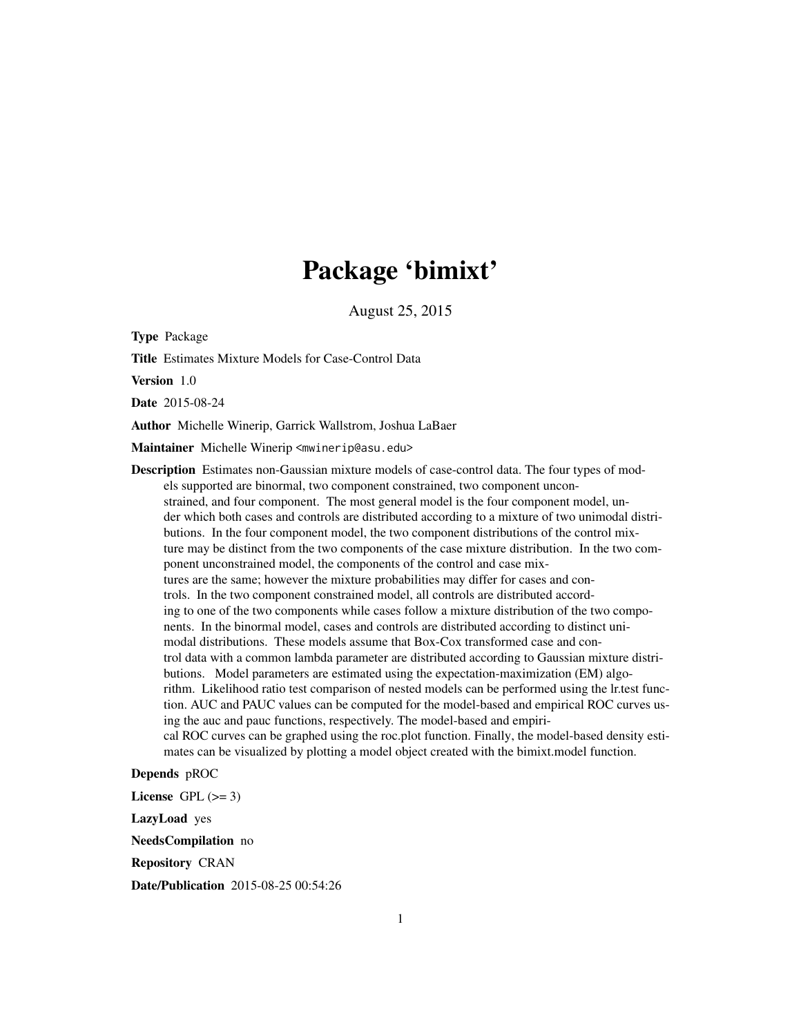## Package 'bimixt'

August 25, 2015

<span id="page-0-0"></span>Type Package

Title Estimates Mixture Models for Case-Control Data

Version 1.0

Date 2015-08-24

Author Michelle Winerip, Garrick Wallstrom, Joshua LaBaer

Maintainer Michelle Winerip <mwinerip@asu.edu>

Description Estimates non-Gaussian mixture models of case-control data. The four types of models supported are binormal, two component constrained, two component unconstrained, and four component. The most general model is the four component model, under which both cases and controls are distributed according to a mixture of two unimodal distributions. In the four component model, the two component distributions of the control mixture may be distinct from the two components of the case mixture distribution. In the two component unconstrained model, the components of the control and case mixtures are the same; however the mixture probabilities may differ for cases and controls. In the two component constrained model, all controls are distributed according to one of the two components while cases follow a mixture distribution of the two components. In the binormal model, cases and controls are distributed according to distinct unimodal distributions. These models assume that Box-Cox transformed case and control data with a common lambda parameter are distributed according to Gaussian mixture distributions. Model parameters are estimated using the expectation-maximization (EM) algorithm. Likelihood ratio test comparison of nested models can be performed using the lr.test function. AUC and PAUC values can be computed for the model-based and empirical ROC curves using the auc and pauc functions, respectively. The model-based and empirical ROC curves can be graphed using the roc.plot function. Finally, the model-based density estimates can be visualized by plotting a model object created with the bimixt.model function.

Depends pROC

License GPL  $(>= 3)$ 

LazyLoad yes

NeedsCompilation no

Repository CRAN

Date/Publication 2015-08-25 00:54:26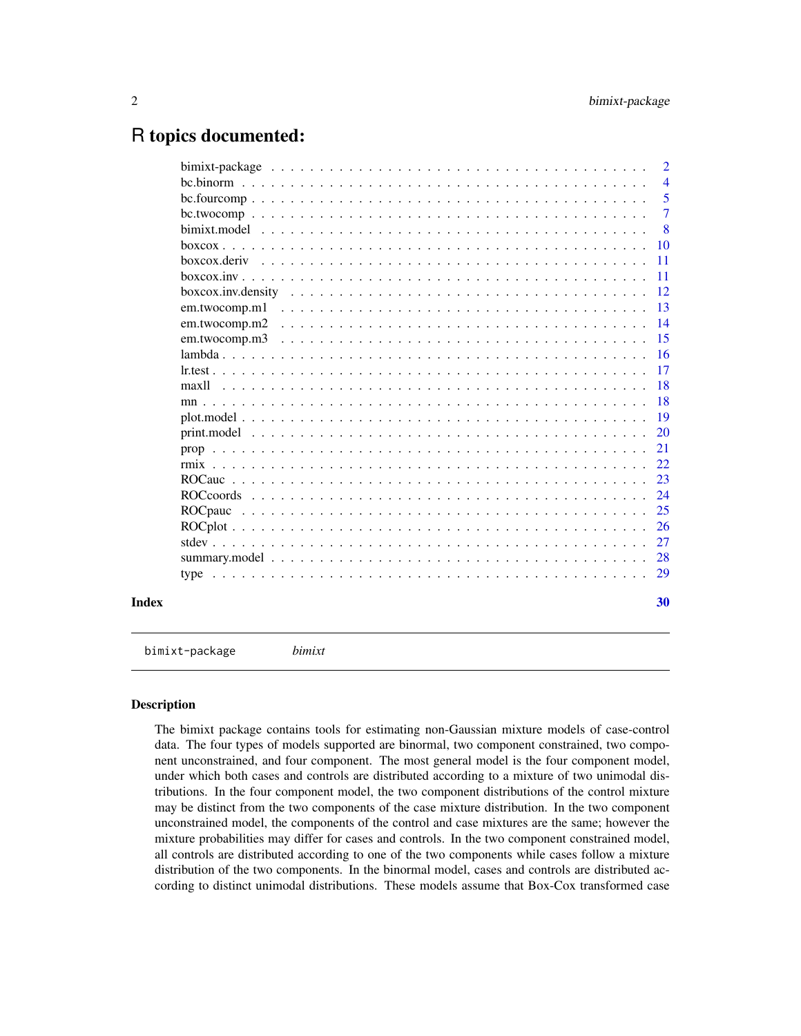## <span id="page-1-0"></span>R topics documented:

|       |                                                                                                                 | $\overline{2}$  |
|-------|-----------------------------------------------------------------------------------------------------------------|-----------------|
|       |                                                                                                                 | $\overline{4}$  |
|       |                                                                                                                 | 5               |
|       |                                                                                                                 | $\overline{7}$  |
|       |                                                                                                                 | - 8             |
|       |                                                                                                                 | -10             |
|       |                                                                                                                 | <b>11</b>       |
|       |                                                                                                                 | $\overline{11}$ |
|       |                                                                                                                 | -12             |
|       | em.twocomp.m1                                                                                                   | -13             |
|       |                                                                                                                 |                 |
|       |                                                                                                                 | 15              |
|       |                                                                                                                 |                 |
|       |                                                                                                                 | 17              |
|       |                                                                                                                 | -18             |
|       |                                                                                                                 |                 |
|       |                                                                                                                 | -19             |
|       |                                                                                                                 | <sup>20</sup>   |
|       |                                                                                                                 | 21              |
|       |                                                                                                                 | 22              |
|       |                                                                                                                 | 23              |
|       |                                                                                                                 | 24              |
|       | ROC pau contra contra contra contra contra contra contra contra contra contra contra contra contra contra contr | 25              |
|       |                                                                                                                 | 26              |
|       |                                                                                                                 | 27              |
|       |                                                                                                                 | 28              |
|       |                                                                                                                 |                 |
| Index |                                                                                                                 | 30              |

bimixt-package *bimixt*

## Description

The bimixt package contains tools for estimating non-Gaussian mixture models of case-control data. The four types of models supported are binormal, two component constrained, two component unconstrained, and four component. The most general model is the four component model, under which both cases and controls are distributed according to a mixture of two unimodal distributions. In the four component model, the two component distributions of the control mixture may be distinct from the two components of the case mixture distribution. In the two component unconstrained model, the components of the control and case mixtures are the same; however the mixture probabilities may differ for cases and controls. In the two component constrained model, all controls are distributed according to one of the two components while cases follow a mixture distribution of the two components. In the binormal model, cases and controls are distributed according to distinct unimodal distributions. These models assume that Box-Cox transformed case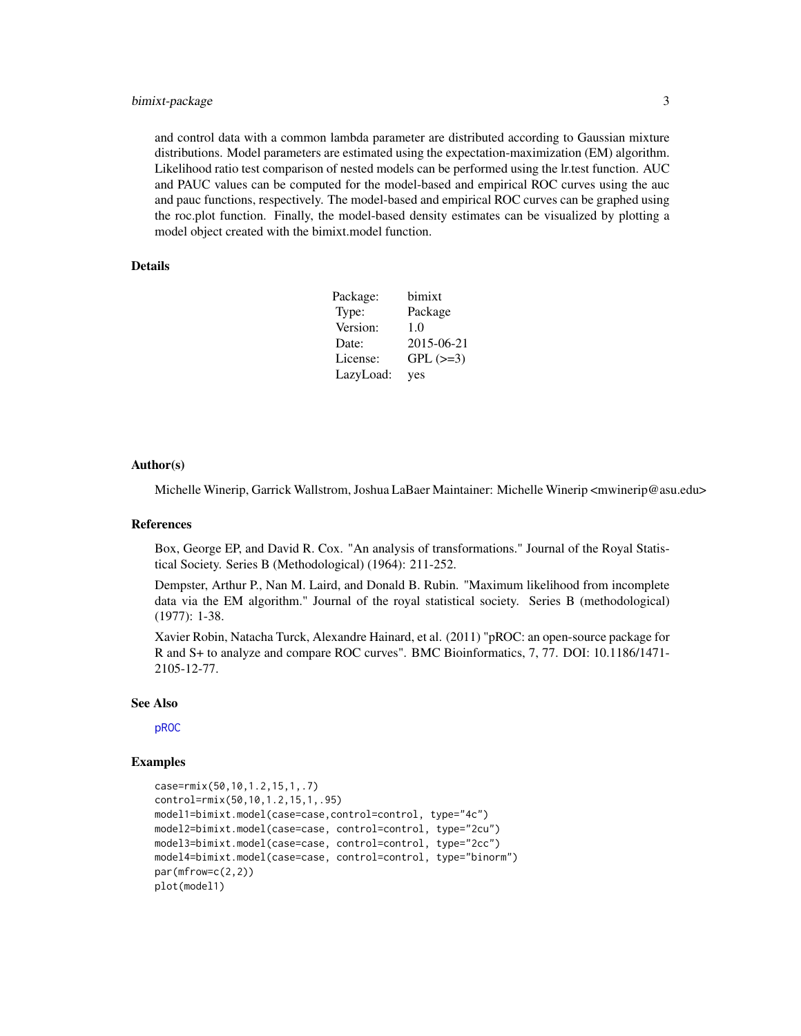## <span id="page-2-0"></span>bimixt-package 3

and control data with a common lambda parameter are distributed according to Gaussian mixture distributions. Model parameters are estimated using the expectation-maximization (EM) algorithm. Likelihood ratio test comparison of nested models can be performed using the lr.test function. AUC and PAUC values can be computed for the model-based and empirical ROC curves using the auc and pauc functions, respectively. The model-based and empirical ROC curves can be graphed using the roc.plot function. Finally, the model-based density estimates can be visualized by plotting a model object created with the bimixt.model function.

#### Details

| Package:  | bimixt     |
|-----------|------------|
| Type:     | Package    |
| Version:  | 1.0        |
| Date:     | 2015-06-21 |
| License:  | $GPL (=3)$ |
| LazyLoad: | yes        |

#### Author(s)

Michelle Winerip, Garrick Wallstrom, Joshua LaBaer Maintainer: Michelle Winerip <mwinerip@asu.edu>

#### References

Box, George EP, and David R. Cox. "An analysis of transformations." Journal of the Royal Statistical Society. Series B (Methodological) (1964): 211-252.

Dempster, Arthur P., Nan M. Laird, and Donald B. Rubin. "Maximum likelihood from incomplete data via the EM algorithm." Journal of the royal statistical society. Series B (methodological) (1977): 1-38.

Xavier Robin, Natacha Turck, Alexandre Hainard, et al. (2011) "pROC: an open-source package for R and S+ to analyze and compare ROC curves". BMC Bioinformatics, 7, 77. DOI: 10.1186/1471- 2105-12-77.

#### See Also

[pROC](#page-0-0)

```
case=rmix(50,10,1.2,15,1,.7)
control=rmix(50,10,1.2,15,1,.95)
model1=bimixt.model(case=case,control=control, type="4c")
model2=bimixt.model(case=case, control=control, type="2cu")
model3=bimixt.model(case=case, control=control, type="2cc")
model4=bimixt.model(case=case, control=control, type="binorm")
par(mfrow=c(2,2))
plot(model1)
```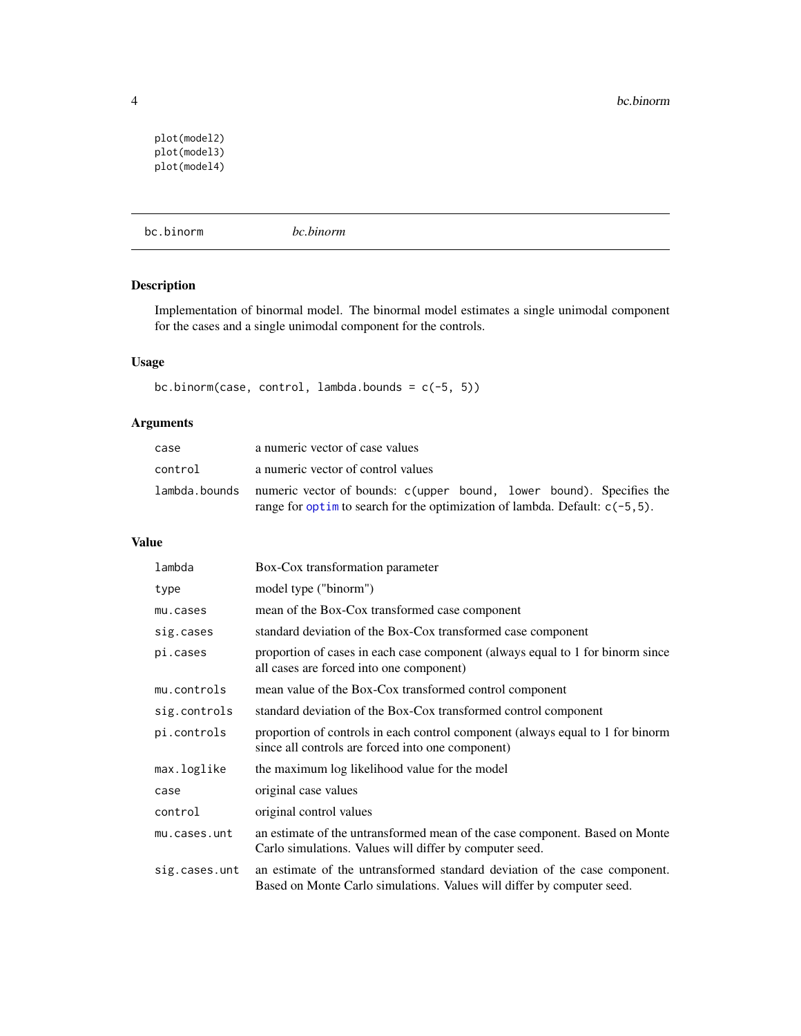```
plot(model2)
plot(model3)
plot(model4)
```
<span id="page-3-1"></span>bc.binorm *bc.binorm*

## Description

Implementation of binormal model. The binormal model estimates a single unimodal component for the cases and a single unimodal component for the controls.

## Usage

bc.binorm(case, control, lambda.bounds = c(-5, 5))

## Arguments

| case    | a numeric vector of case values                                                    |
|---------|------------------------------------------------------------------------------------|
| control | a numeric vector of control values                                                 |
|         | lambda.bounds numeric vector of bounds: c(upper bound, lower bound). Specifies the |
|         | range for optim to search for the optimization of lambda. Default: $c(-5, 5)$ .    |

#### Value

| lambda        | Box-Cox transformation parameter                                                                                                                     |
|---------------|------------------------------------------------------------------------------------------------------------------------------------------------------|
| type          | model type ("binorm")                                                                                                                                |
| mu.cases      | mean of the Box-Cox transformed case component                                                                                                       |
| sig.cases     | standard deviation of the Box-Cox transformed case component                                                                                         |
| pi.cases      | proportion of cases in each case component (always equal to 1 for binorm since<br>all cases are forced into one component)                           |
| mu.controls   | mean value of the Box-Cox transformed control component                                                                                              |
| sig.controls  | standard deviation of the Box-Cox transformed control component                                                                                      |
| pi.controls   | proportion of controls in each control component (always equal to 1 for binorm<br>since all controls are forced into one component)                  |
| max.loglike   | the maximum log likelihood value for the model                                                                                                       |
| case          | original case values                                                                                                                                 |
| control       | original control values                                                                                                                              |
| mu.cases.unt  | an estimate of the untransformed mean of the case component. Based on Monte<br>Carlo simulations. Values will differ by computer seed.               |
| sig.cases.unt | an estimate of the untransformed standard deviation of the case component.<br>Based on Monte Carlo simulations. Values will differ by computer seed. |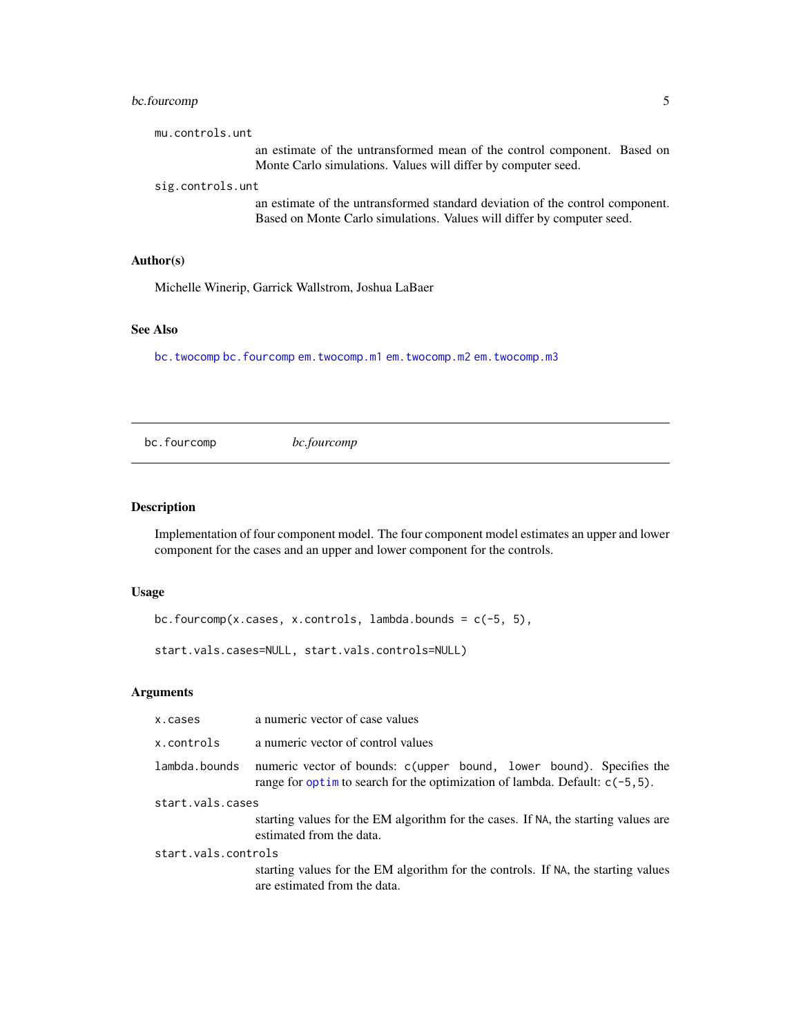## <span id="page-4-0"></span>bc.fourcomp 5

| mu.controls.unt                                                                                                                                         |
|---------------------------------------------------------------------------------------------------------------------------------------------------------|
| an estimate of the untransformed mean of the control component. Based on<br>Monte Carlo simulations. Values will differ by computer seed.               |
| sig.controls.unt                                                                                                                                        |
| an estimate of the untransformed standard deviation of the control component.<br>Based on Monte Carlo simulations. Values will differ by computer seed. |
|                                                                                                                                                         |

## Author(s)

Michelle Winerip, Garrick Wallstrom, Joshua LaBaer

#### See Also

[bc.twocomp](#page-6-1) [bc.fourcomp](#page-4-1) [em.twocomp.m1](#page-12-1) [em.twocomp.m2](#page-13-1) [em.twocomp.m3](#page-14-1)

<span id="page-4-1"></span>bc.fourcomp *bc.fourcomp*

#### Description

Implementation of four component model. The four component model estimates an upper and lower component for the cases and an upper and lower component for the controls.

## Usage

bc.fourcomp(x.cases, x.controls, lambda.bounds = c(-5, 5),

start.vals.cases=NULL, start.vals.controls=NULL)

## Arguments

| x.cases             | a numeric vector of case values                                                                                                                         |  |
|---------------------|---------------------------------------------------------------------------------------------------------------------------------------------------------|--|
| x.controls          | a numeric vector of control values                                                                                                                      |  |
| lambda.bounds       | numeric vector of bounds: c(upper bound, lower bound). Specifies the<br>range for optim to search for the optimization of lambda. Default: $c(-5, 5)$ . |  |
| start.vals.cases    |                                                                                                                                                         |  |
|                     | starting values for the EM algorithm for the cases. If NA, the starting values are<br>estimated from the data.                                          |  |
| start.vals.controls |                                                                                                                                                         |  |
|                     | starting values for the EM algorithm for the controls. If NA, the starting values<br>are estimated from the data.                                       |  |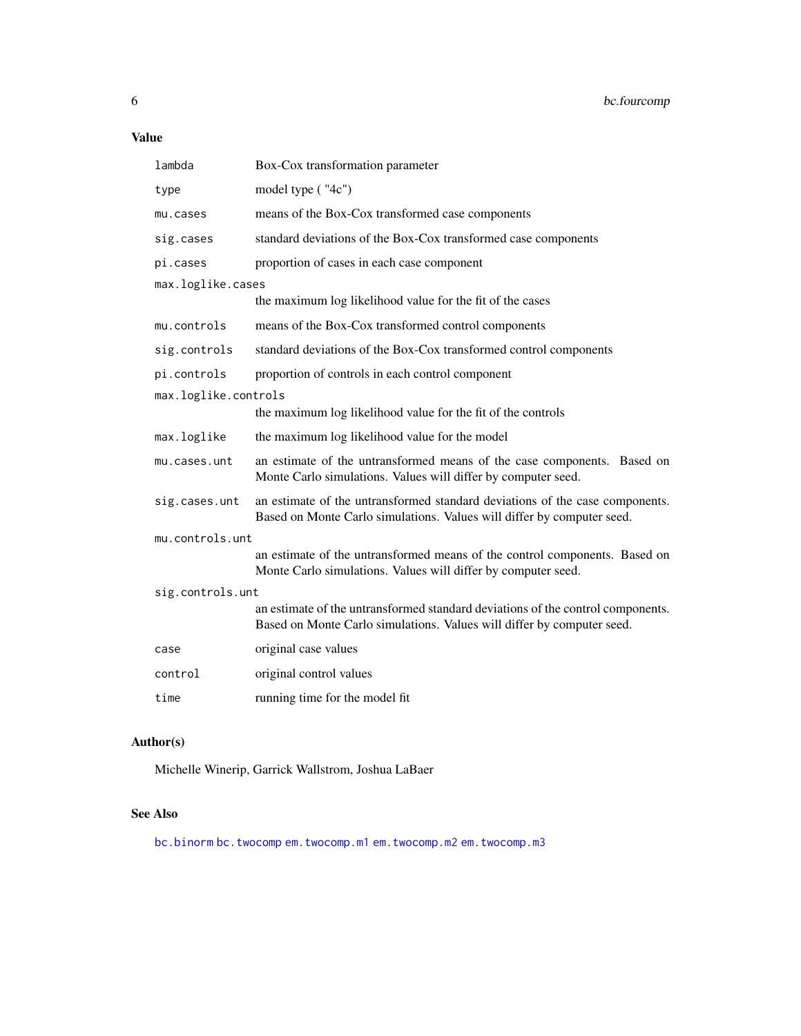## <span id="page-5-0"></span>Value

| lambda               | Box-Cox transformation parameter                                                                                                                          |  |
|----------------------|-----------------------------------------------------------------------------------------------------------------------------------------------------------|--|
| type                 | model type ("4c")                                                                                                                                         |  |
| mu.cases             | means of the Box-Cox transformed case components                                                                                                          |  |
| sig.cases            | standard deviations of the Box-Cox transformed case components                                                                                            |  |
| pi.cases             | proportion of cases in each case component                                                                                                                |  |
| max.loglike.cases    |                                                                                                                                                           |  |
|                      | the maximum log likelihood value for the fit of the cases                                                                                                 |  |
| mu.controls          | means of the Box-Cox transformed control components                                                                                                       |  |
| sig.controls         | standard deviations of the Box-Cox transformed control components                                                                                         |  |
| pi.controls          | proportion of controls in each control component                                                                                                          |  |
| max.loglike.controls |                                                                                                                                                           |  |
|                      | the maximum log likelihood value for the fit of the controls                                                                                              |  |
| max.loglike          | the maximum log likelihood value for the model                                                                                                            |  |
| mu.cases.unt         | an estimate of the untransformed means of the case components. Based on<br>Monte Carlo simulations. Values will differ by computer seed.                  |  |
| sig.cases.unt        | an estimate of the untransformed standard deviations of the case components.<br>Based on Monte Carlo simulations. Values will differ by computer seed.    |  |
| mu.controls.unt      |                                                                                                                                                           |  |
|                      | an estimate of the untransformed means of the control components. Based on<br>Monte Carlo simulations. Values will differ by computer seed.               |  |
| sig.controls.unt     |                                                                                                                                                           |  |
|                      | an estimate of the untransformed standard deviations of the control components.<br>Based on Monte Carlo simulations. Values will differ by computer seed. |  |
| case                 | original case values                                                                                                                                      |  |
| control              | original control values                                                                                                                                   |  |
| time                 | running time for the model fit                                                                                                                            |  |

## Author(s)

Michelle Winerip, Garrick Wallstrom, Joshua LaBaer

## See Also

[bc.binorm](#page-3-1) [bc.twocomp](#page-6-1) [em.twocomp.m1](#page-12-1) [em.twocomp.m2](#page-13-1) [em.twocomp.m3](#page-14-1)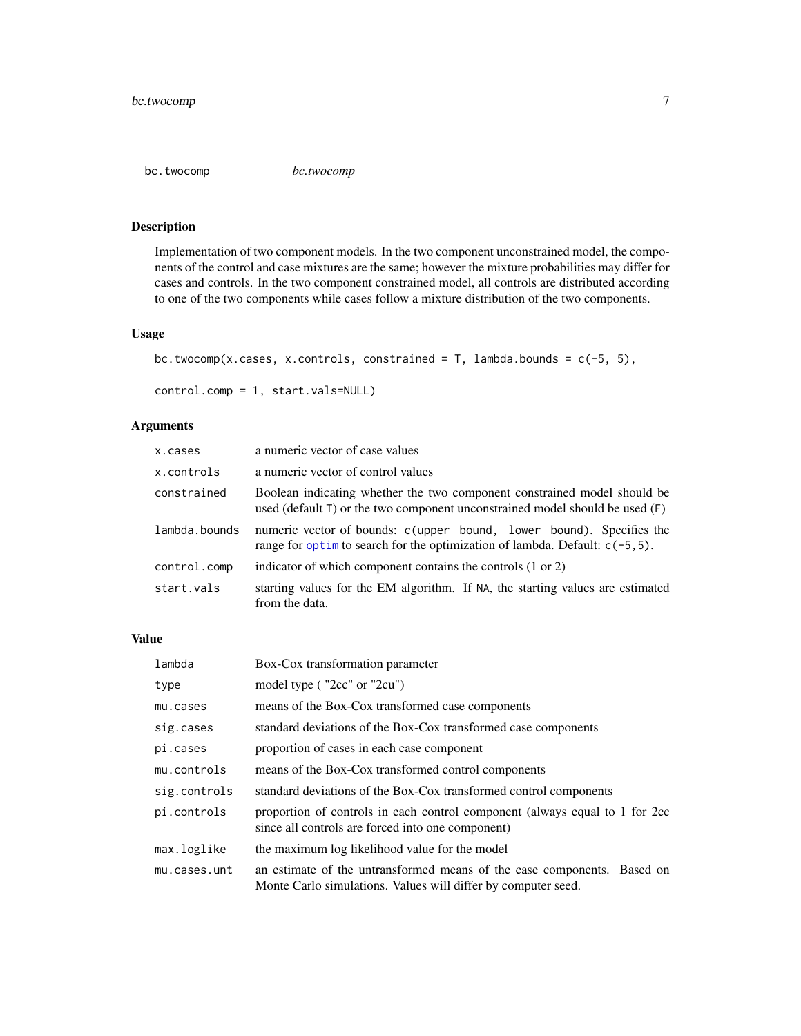<span id="page-6-1"></span><span id="page-6-0"></span>

#### Description

Implementation of two component models. In the two component unconstrained model, the components of the control and case mixtures are the same; however the mixture probabilities may differ for cases and controls. In the two component constrained model, all controls are distributed according to one of the two components while cases follow a mixture distribution of the two components.

#### Usage

```
bc.twocomp(x.cases, x.controls, constrained = T, lambda.bounds = c(-5, 5),
```

```
control.comp = 1, start.vals=NULL)
```
## Arguments

| x.cases       | a numeric vector of case values                                                                                                                               |
|---------------|---------------------------------------------------------------------------------------------------------------------------------------------------------------|
| x.controls    | a numeric vector of control values                                                                                                                            |
| constrained   | Boolean indicating whether the two component constrained model should be<br>used (default $T$ ) or the two component unconstrained model should be used $(F)$ |
| lambda.bounds | numeric vector of bounds: c(upper bound, lower bound). Specifies the<br>range for optim to search for the optimization of lambda. Default: $c(-5, 5)$ .       |
| control.comp  | indicator of which component contains the controls (1 or 2)                                                                                                   |
| start.vals    | starting values for the EM algorithm. If NA, the starting values are estimated<br>from the data.                                                              |

#### Value

| lambda       | Box-Cox transformation parameter                                                                                                         |
|--------------|------------------------------------------------------------------------------------------------------------------------------------------|
| type         | model type ("2cc" or "2cu")                                                                                                              |
| mu.cases     | means of the Box-Cox transformed case components                                                                                         |
| sig.cases    | standard deviations of the Box-Cox transformed case components                                                                           |
| pi.cases     | proportion of cases in each case component                                                                                               |
| mu.controls  | means of the Box-Cox transformed control components                                                                                      |
| sig.controls | standard deviations of the Box-Cox transformed control components                                                                        |
| pi.controls  | proportion of controls in each control component (always equal to 1 for 2cc)<br>since all controls are forced into one component)        |
| max.loglike  | the maximum log likelihood value for the model                                                                                           |
| mu.cases.unt | an estimate of the untransformed means of the case components. Based on<br>Monte Carlo simulations. Values will differ by computer seed. |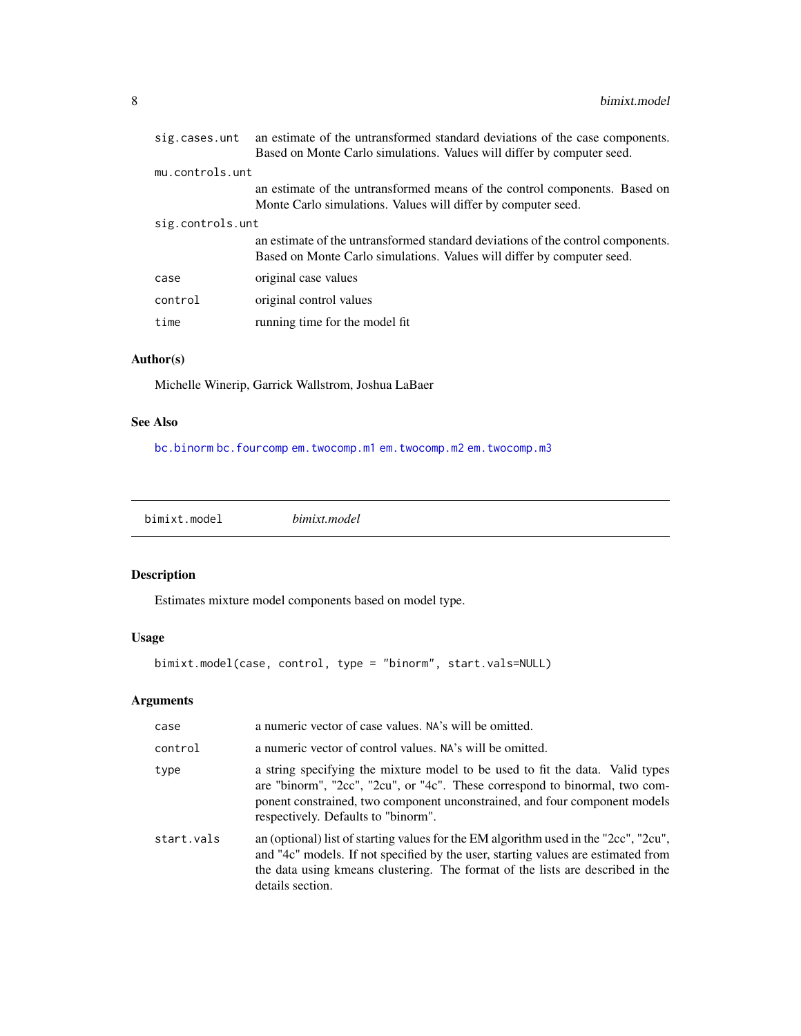<span id="page-7-0"></span>

| sig.cases.unt    | an estimate of the untransformed standard deviations of the case components.<br>Based on Monte Carlo simulations. Values will differ by computer seed.    |  |
|------------------|-----------------------------------------------------------------------------------------------------------------------------------------------------------|--|
| mu.controls.unt  |                                                                                                                                                           |  |
|                  | an estimate of the untransformed means of the control components. Based on                                                                                |  |
|                  | Monte Carlo simulations. Values will differ by computer seed.                                                                                             |  |
| sig.controls.unt |                                                                                                                                                           |  |
|                  | an estimate of the untransformed standard deviations of the control components.<br>Based on Monte Carlo simulations. Values will differ by computer seed. |  |
| case             | original case values                                                                                                                                      |  |
| control          | original control values                                                                                                                                   |  |
| time             | running time for the model fit                                                                                                                            |  |

## Author(s)

Michelle Winerip, Garrick Wallstrom, Joshua LaBaer

## See Also

[bc.binorm](#page-3-1) [bc.fourcomp](#page-4-1) [em.twocomp.m1](#page-12-1) [em.twocomp.m2](#page-13-1) [em.twocomp.m3](#page-14-1)

<span id="page-7-1"></span>

| bimixt.model | bimixt.model |  |
|--------------|--------------|--|
|              |              |  |

## Description

Estimates mixture model components based on model type.

## Usage

```
bimixt.model(case, control, type = "binorm", start.vals=NULL)
```
## Arguments

| case       | a numeric vector of case values. NA's will be omitted.                                                                                                                                                                                                                            |  |
|------------|-----------------------------------------------------------------------------------------------------------------------------------------------------------------------------------------------------------------------------------------------------------------------------------|--|
| control    | a numeric vector of control values. NA's will be omitted.                                                                                                                                                                                                                         |  |
| type       | a string specifying the mixture model to be used to fit the data. Valid types<br>are "binorm", "2cc", "2cu", or "4c". These correspond to binormal, two com-<br>ponent constrained, two component unconstrained, and four component models<br>respectively. Defaults to "binorm". |  |
| start.vals | an (optional) list of starting values for the EM algorithm used in the "2cc", "2cu",<br>and "4c" models. If not specified by the user, starting values are estimated from<br>the data using kmeans clustering. The format of the lists are described in the<br>details section.   |  |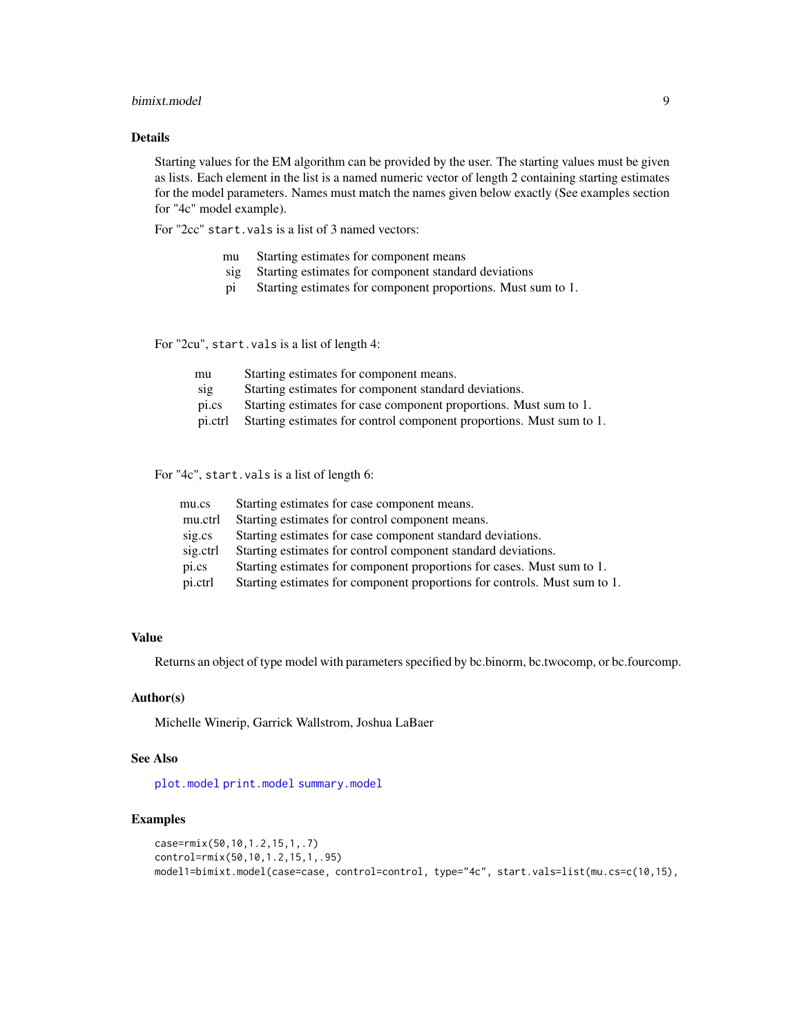#### <span id="page-8-0"></span>bimixt.model 9

#### Details

Starting values for the EM algorithm can be provided by the user. The starting values must be given as lists. Each element in the list is a named numeric vector of length 2 containing starting estimates for the model parameters. Names must match the names given below exactly (See examples section for "4c" model example).

For "2cc" start.vals is a list of 3 named vectors:

- mu Starting estimates for component means
- sig Starting estimates for component standard deviations
- pi Starting estimates for component proportions. Must sum to 1.

For "2cu", start.vals is a list of length 4:

| mu      | Starting estimates for component means.                              |
|---------|----------------------------------------------------------------------|
| sig     | Starting estimates for component standard deviations.                |
| pi.cs   | Starting estimates for case component proportions. Must sum to 1.    |
| pi.ctrl | Starting estimates for control component proportions. Must sum to 1. |

For "4c", start.vals is a list of length 6:

| mu.cs    | Starting estimates for case component means.                              |
|----------|---------------------------------------------------------------------------|
| mu.ctrl  | Starting estimates for control component means.                           |
| sig.cs   | Starting estimates for case component standard deviations.                |
| sig.ctrl | Starting estimates for control component standard deviations.             |
| pi.cs    | Starting estimates for component proportions for cases. Must sum to 1.    |
| pi.ctrl  | Starting estimates for component proportions for controls. Must sum to 1. |

## Value

Returns an object of type model with parameters specified by bc.binorm, bc.twocomp, or bc.fourcomp.

## Author(s)

Michelle Winerip, Garrick Wallstrom, Joshua LaBaer

#### See Also

[plot.model](#page-18-1) [print.model](#page-19-1) [summary.model](#page-27-1)

```
case=rmix(50,10,1.2,15,1,.7)
control=rmix(50,10,1.2,15,1,.95)
model1=bimixt.model(case=case, control=control, type="4c", start.vals=list(mu.cs=c(10,15),
```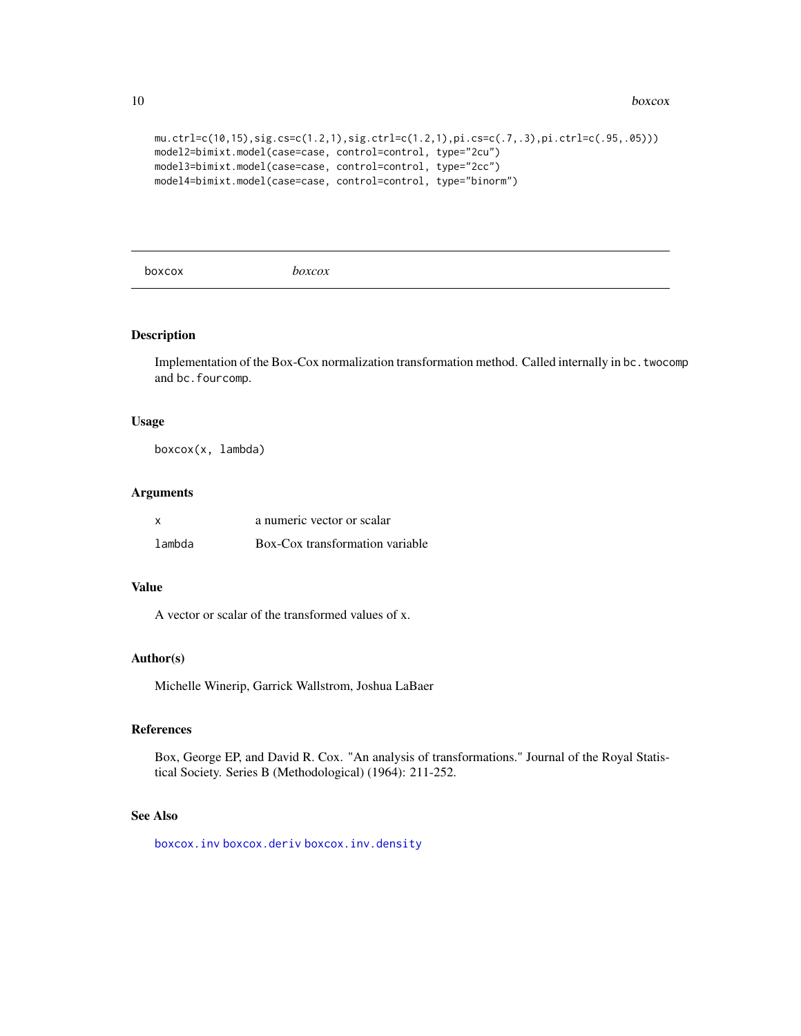```
mu.ctrl=c(10,15),sig.cs=c(1.2,1),sig.ctrl=c(1.2,1),pi.cs=c(.7,.3),pi.ctrl=c(.95,.05)))
model2=bimixt.model(case=case, control=control, type="2cu")
model3=bimixt.model(case=case, control=control, type="2cc")
model4=bimixt.model(case=case, control=control, type="binorm")
```
<span id="page-9-1"></span>boxcox *boxcox*

#### Description

Implementation of the Box-Cox normalization transformation method. Called internally in bc.twocomp and bc.fourcomp.

#### Usage

boxcox(x, lambda)

#### Arguments

| x      | a numeric vector or scalar      |
|--------|---------------------------------|
| lambda | Box-Cox transformation variable |

#### Value

A vector or scalar of the transformed values of x.

#### Author(s)

Michelle Winerip, Garrick Wallstrom, Joshua LaBaer

#### References

Box, George EP, and David R. Cox. "An analysis of transformations." Journal of the Royal Statistical Society. Series B (Methodological) (1964): 211-252.

## See Also

[boxcox.inv](#page-10-1) [boxcox.deriv](#page-10-2) [boxcox.inv.density](#page-11-1)

<span id="page-9-0"></span>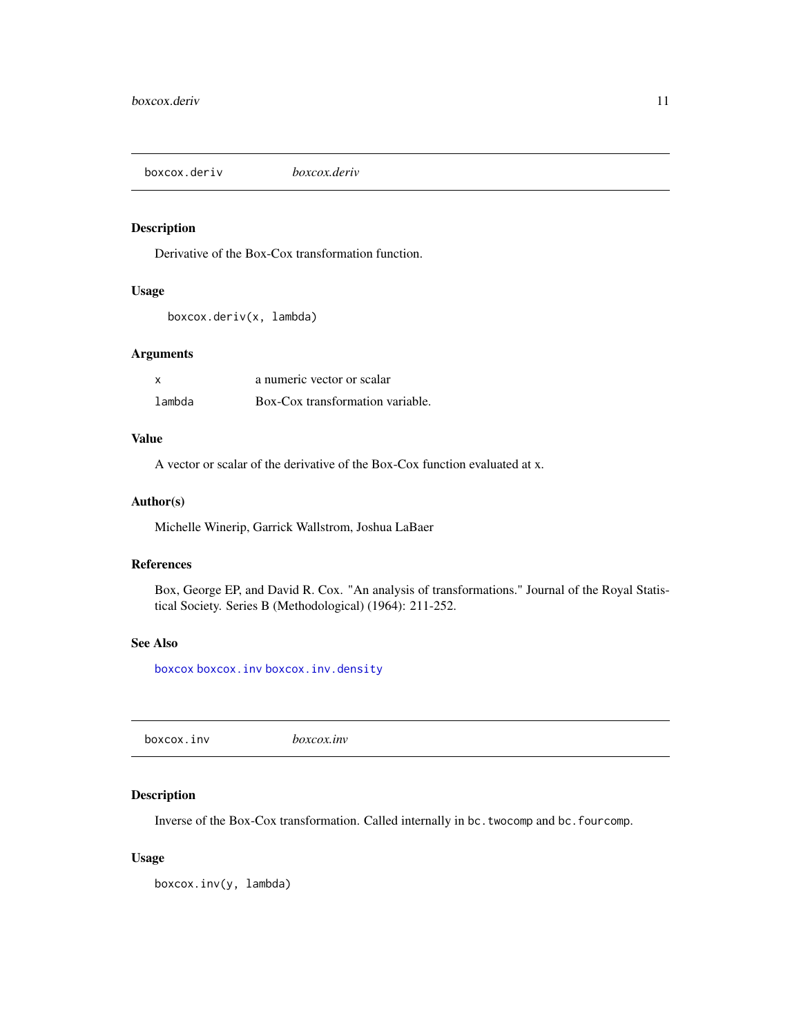<span id="page-10-2"></span><span id="page-10-0"></span>boxcox.deriv *boxcox.deriv*

## Description

Derivative of the Box-Cox transformation function.

#### Usage

```
boxcox.deriv(x, lambda)
```
#### Arguments

| <b>X</b> | a numeric vector or scalar       |
|----------|----------------------------------|
| lambda   | Box-Cox transformation variable. |

#### Value

A vector or scalar of the derivative of the Box-Cox function evaluated at x.

#### Author(s)

Michelle Winerip, Garrick Wallstrom, Joshua LaBaer

#### References

Box, George EP, and David R. Cox. "An analysis of transformations." Journal of the Royal Statistical Society. Series B (Methodological) (1964): 211-252.

#### See Also

[boxcox](#page-9-1) [boxcox.inv](#page-10-1) [boxcox.inv.density](#page-11-1)

<span id="page-10-1"></span>boxcox.inv *boxcox.inv*

#### Description

Inverse of the Box-Cox transformation. Called internally in bc.twocomp and bc.fourcomp.

#### Usage

boxcox.inv(y, lambda)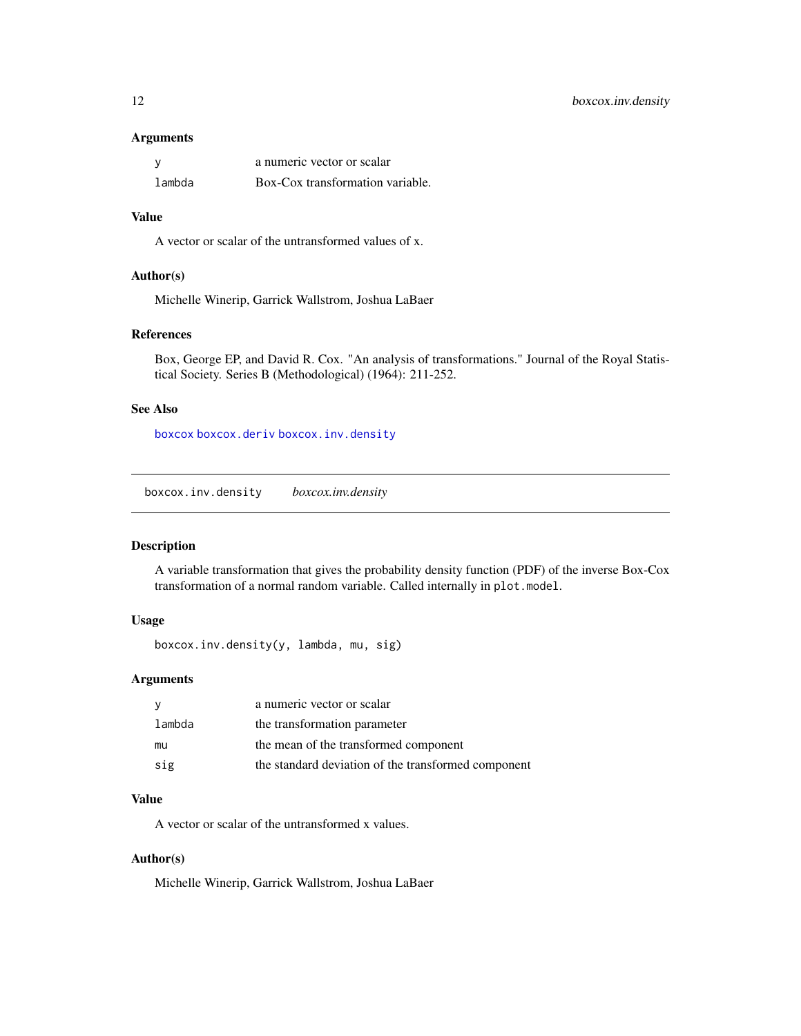#### <span id="page-11-0"></span>Arguments

|        | a numeric vector or scalar       |
|--------|----------------------------------|
| lambda | Box-Cox transformation variable. |

#### Value

A vector or scalar of the untransformed values of x.

#### Author(s)

Michelle Winerip, Garrick Wallstrom, Joshua LaBaer

#### References

Box, George EP, and David R. Cox. "An analysis of transformations." Journal of the Royal Statistical Society. Series B (Methodological) (1964): 211-252.

#### See Also

[boxcox](#page-9-1) [boxcox.deriv](#page-10-2) [boxcox.inv.density](#page-11-1)

<span id="page-11-1"></span>boxcox.inv.density *boxcox.inv.density*

## Description

A variable transformation that gives the probability density function (PDF) of the inverse Box-Cox transformation of a normal random variable. Called internally in plot.model.

## Usage

```
boxcox.inv.density(y, lambda, mu, sig)
```
#### Arguments

| - V    | a numeric vector or scalar                          |
|--------|-----------------------------------------------------|
| lambda | the transformation parameter                        |
| mu     | the mean of the transformed component               |
| sig    | the standard deviation of the transformed component |

## Value

A vector or scalar of the untransformed x values.

#### Author(s)

Michelle Winerip, Garrick Wallstrom, Joshua LaBaer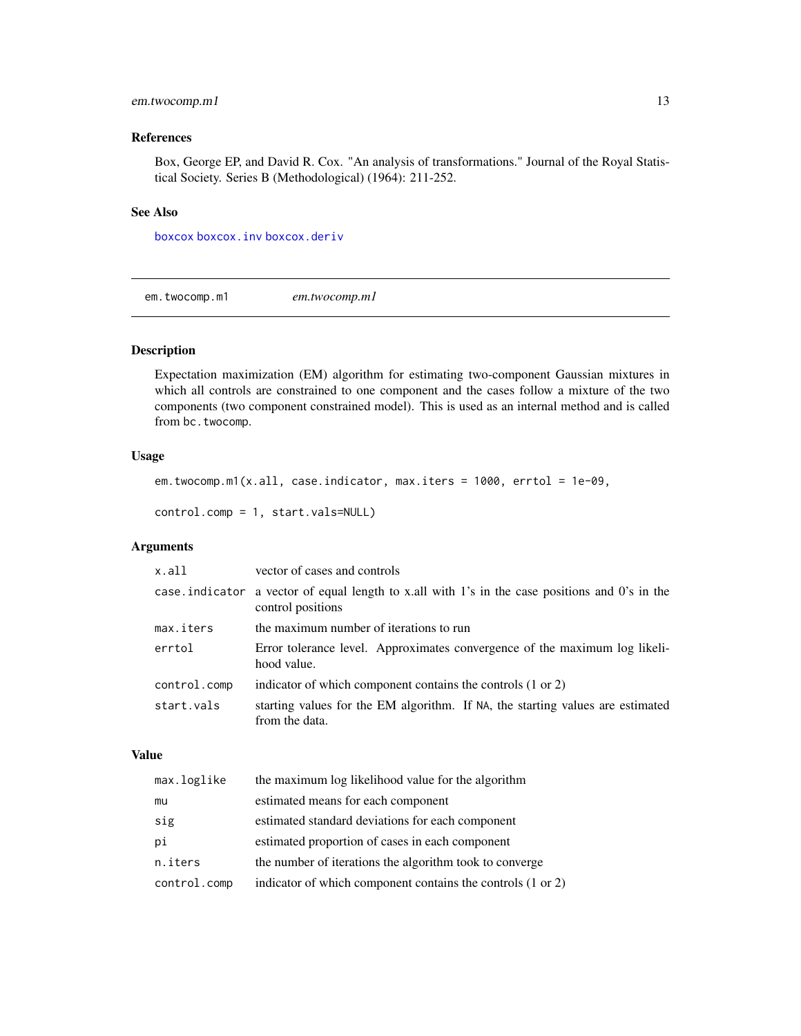## <span id="page-12-0"></span>em.twocomp.m1 13

#### References

Box, George EP, and David R. Cox. "An analysis of transformations." Journal of the Royal Statistical Society. Series B (Methodological) (1964): 211-252.

## See Also

[boxcox](#page-9-1) [boxcox.inv](#page-10-1) [boxcox.deriv](#page-10-2)

<span id="page-12-1"></span>em.twocomp.m1 *em.twocomp.m1*

#### Description

Expectation maximization (EM) algorithm for estimating two-component Gaussian mixtures in which all controls are constrained to one component and the cases follow a mixture of the two components (two component constrained model). This is used as an internal method and is called from bc.twocomp.

#### Usage

```
em.twocomp.m1(x.all, case.indicator, max.iters = 1000, errtol = 1e-09,
control.comp = 1, start.vals=NULL)
```
## Arguments

| x.all        | vector of cases and controls                                                                                        |
|--------------|---------------------------------------------------------------------------------------------------------------------|
|              | case indicator a vector of equal length to x.all with 1's in the case positions and 0's in the<br>control positions |
| max.iters    | the maximum number of iterations to run                                                                             |
| errtol       | Error tolerance level. Approximates convergence of the maximum log likeli-<br>hood value.                           |
| control.comp | indicator of which component contains the controls (1 or 2)                                                         |
| start.vals   | starting values for the EM algorithm. If NA, the starting values are estimated<br>from the data.                    |

## Value

| max.loglike  | the maximum log likelihood value for the algorithm          |
|--------------|-------------------------------------------------------------|
| mu           | estimated means for each component                          |
| sig          | estimated standard deviations for each component            |
| рi           | estimated proportion of cases in each component             |
| n.iters      | the number of iterations the algorithm took to converge     |
| control.comp | indicator of which component contains the controls (1 or 2) |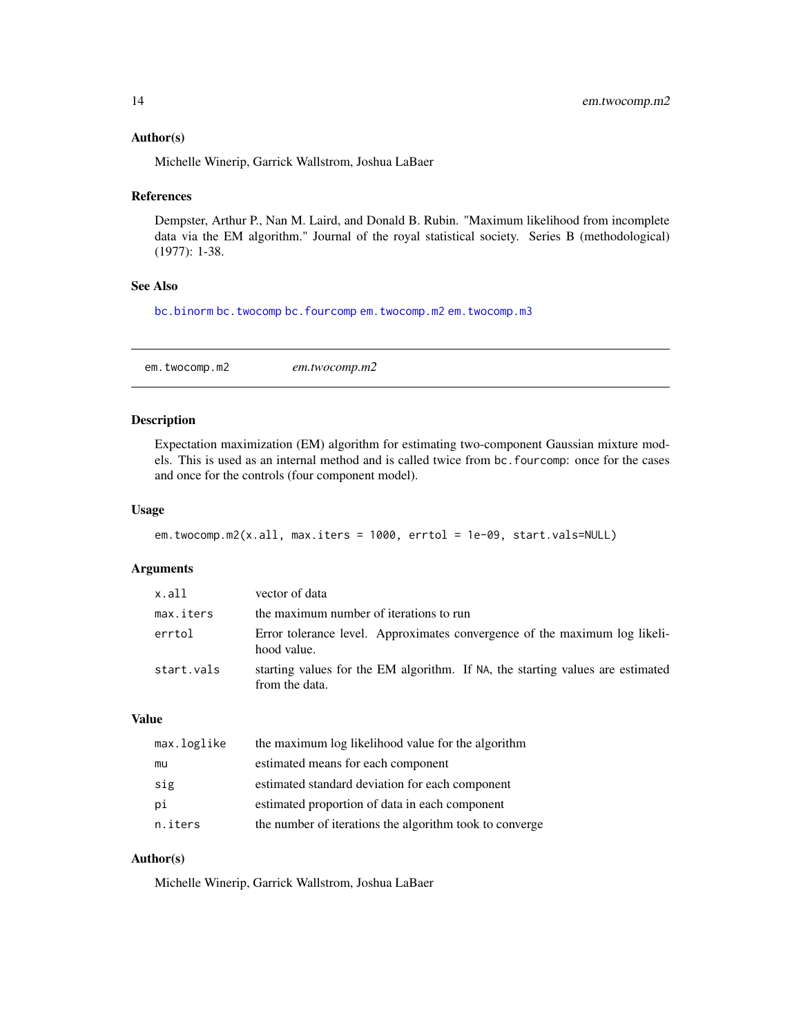#### <span id="page-13-0"></span>Author(s)

Michelle Winerip, Garrick Wallstrom, Joshua LaBaer

#### References

Dempster, Arthur P., Nan M. Laird, and Donald B. Rubin. "Maximum likelihood from incomplete data via the EM algorithm." Journal of the royal statistical society. Series B (methodological) (1977): 1-38.

## See Also

[bc.binorm](#page-3-1) [bc.twocomp](#page-6-1) [bc.fourcomp](#page-4-1) [em.twocomp.m2](#page-13-1) [em.twocomp.m3](#page-14-1)

<span id="page-13-1"></span>em.twocomp.m2 *em.twocomp.m2*

#### Description

Expectation maximization (EM) algorithm for estimating two-component Gaussian mixture models. This is used as an internal method and is called twice from bc.fourcomp: once for the cases and once for the controls (four component model).

#### Usage

```
em.twocomp.m2(x.all, max.iters = 1000, errtol = 1e-09, start.vals=NULL)
```
#### Arguments

| x.all      | vector of data                                                                                   |
|------------|--------------------------------------------------------------------------------------------------|
| max.iters  | the maximum number of iterations to run                                                          |
| errtol     | Error tolerance level. Approximates convergence of the maximum log likeli-<br>hood value.        |
| start.vals | starting values for the EM algorithm. If NA, the starting values are estimated<br>from the data. |

#### Value

| max.loglike | the maximum log likelihood value for the algorithm      |
|-------------|---------------------------------------------------------|
| mu          | estimated means for each component                      |
| sig         | estimated standard deviation for each component         |
| рi          | estimated proportion of data in each component          |
| n.iters     | the number of iterations the algorithm took to converge |

#### Author(s)

Michelle Winerip, Garrick Wallstrom, Joshua LaBaer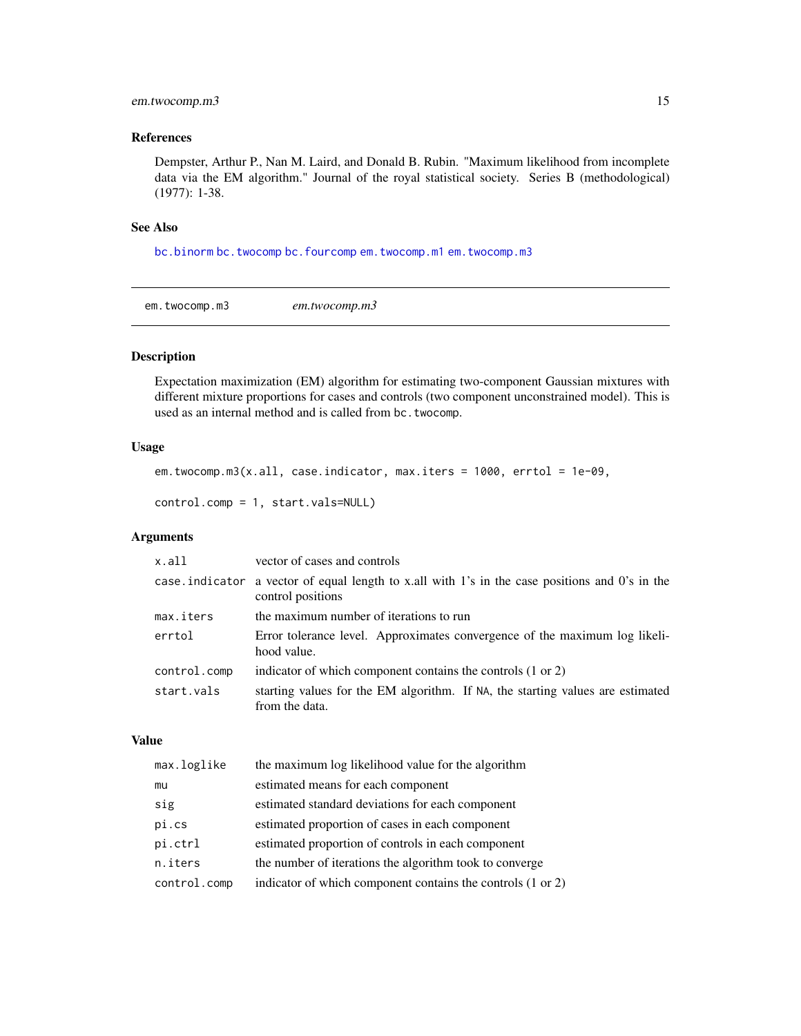## <span id="page-14-0"></span>em.twocomp.m3 15

#### References

Dempster, Arthur P., Nan M. Laird, and Donald B. Rubin. "Maximum likelihood from incomplete data via the EM algorithm." Journal of the royal statistical society. Series B (methodological) (1977): 1-38.

#### See Also

[bc.binorm](#page-3-1) [bc.twocomp](#page-6-1) [bc.fourcomp](#page-4-1) [em.twocomp.m1](#page-12-1) [em.twocomp.m3](#page-14-1)

<span id="page-14-1"></span>em.twocomp.m3 *em.twocomp.m3*

#### Description

Expectation maximization (EM) algorithm for estimating two-component Gaussian mixtures with different mixture proportions for cases and controls (two component unconstrained model). This is used as an internal method and is called from bc.twocomp.

## Usage

```
em.twocomp.m3(x.all, case.indicator, max.iters = 1000, errtol = 1e-09,
```

```
control.comp = 1, start.vals=NULL)
```
## Arguments

| x.all        | vector of cases and controls                                                                                        |
|--------------|---------------------------------------------------------------------------------------------------------------------|
|              | case indicator a vector of equal length to x.all with 1's in the case positions and 0's in the<br>control positions |
| max.iters    | the maximum number of iterations to run                                                                             |
| errtol       | Error tolerance level. Approximates convergence of the maximum log likeli-<br>hood value.                           |
| control.comp | indicator of which component contains the controls (1 or 2)                                                         |
| start.vals   | starting values for the EM algorithm. If NA, the starting values are estimated<br>from the data.                    |

#### Value

| max.loglike  | the maximum log likelihood value for the algorithm          |
|--------------|-------------------------------------------------------------|
| mu           | estimated means for each component                          |
| sig          | estimated standard deviations for each component            |
| pi.cs        | estimated proportion of cases in each component             |
| pi.ctrl      | estimated proportion of controls in each component          |
| n.iters      | the number of iterations the algorithm took to converge     |
| control.comp | indicator of which component contains the controls (1 or 2) |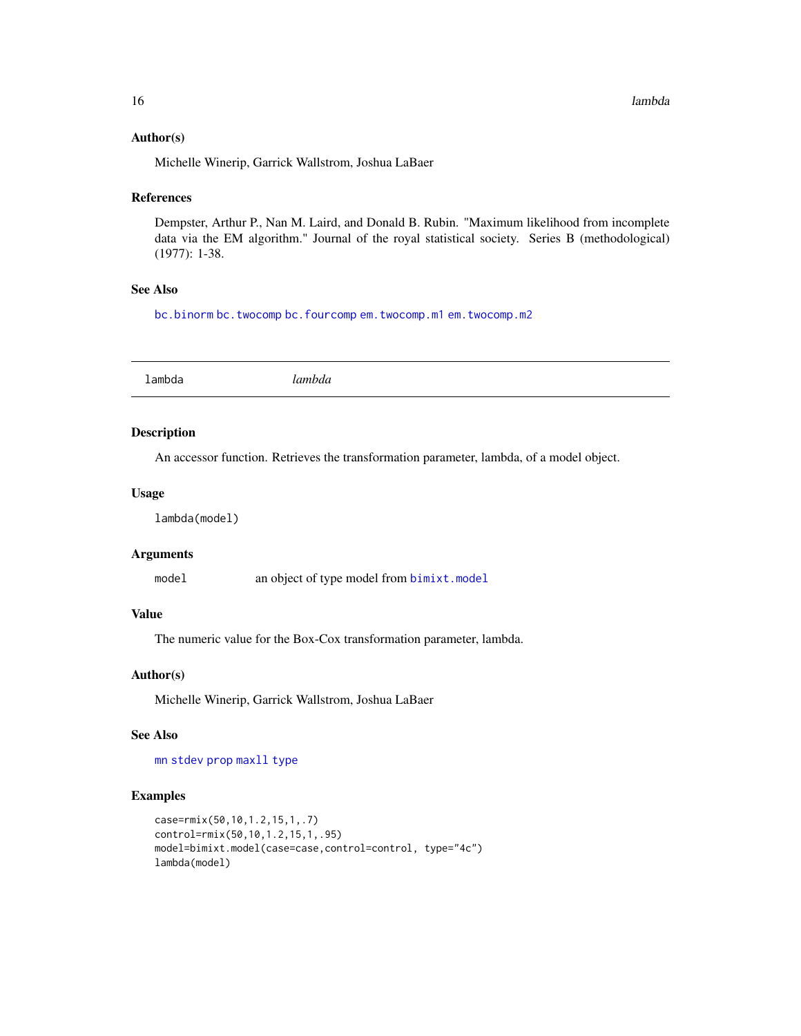#### Author(s)

Michelle Winerip, Garrick Wallstrom, Joshua LaBaer

## References

Dempster, Arthur P., Nan M. Laird, and Donald B. Rubin. "Maximum likelihood from incomplete data via the EM algorithm." Journal of the royal statistical society. Series B (methodological) (1977): 1-38.

#### See Also

[bc.binorm](#page-3-1) [bc.twocomp](#page-6-1) [bc.fourcomp](#page-4-1) [em.twocomp.m1](#page-12-1) [em.twocomp.m2](#page-13-1)

<span id="page-15-1"></span>

| ำmh∟<br>. |  |
|-----------|--|
|           |  |

## Description

An accessor function. Retrieves the transformation parameter, lambda, of a model object.

#### Usage

lambda(model)

## Arguments

model an object of type model from [bimixt.model](#page-7-1)

#### Value

The numeric value for the Box-Cox transformation parameter, lambda.

#### Author(s)

Michelle Winerip, Garrick Wallstrom, Joshua LaBaer

#### See Also

[mn](#page-17-1) [stdev](#page-26-1) [prop](#page-20-1) [maxll](#page-17-2) [type](#page-28-1)

```
case=rmix(50,10,1.2,15,1,.7)
control=rmix(50,10,1.2,15,1,.95)
model=bimixt.model(case=case,control=control, type="4c")
lambda(model)
```
<span id="page-15-0"></span>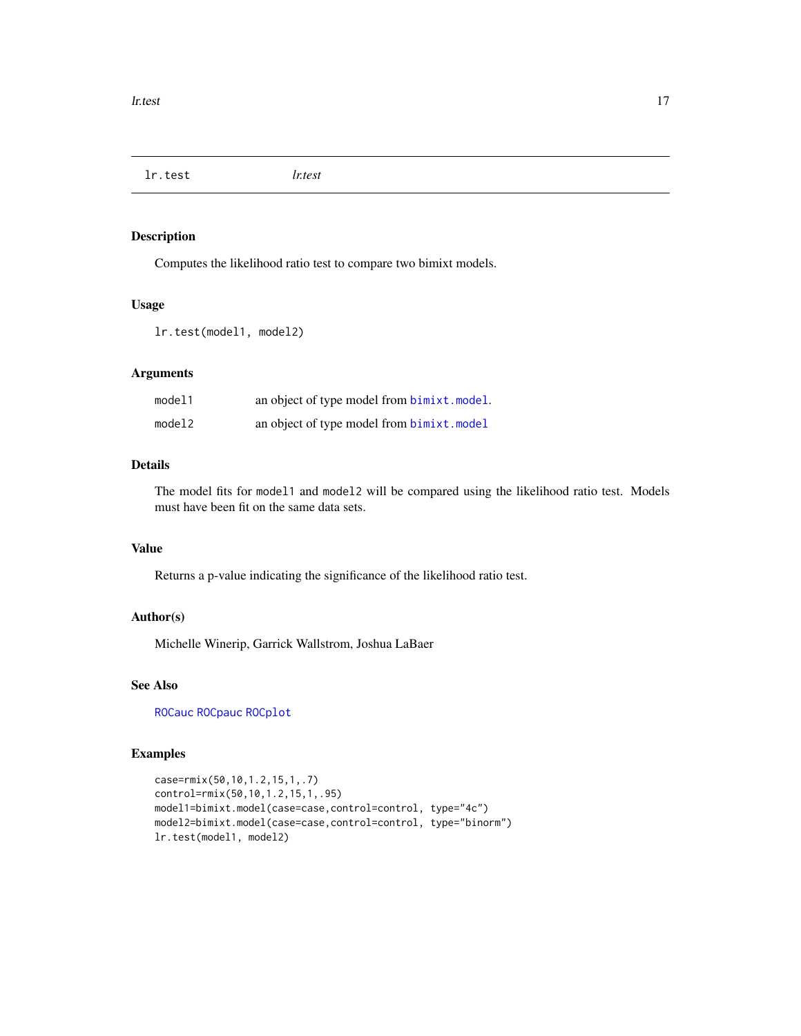<span id="page-16-0"></span>lr.test *lr.test*

## Description

Computes the likelihood ratio test to compare two bimixt models.

#### Usage

lr.test(model1, model2)

## Arguments

| model1 | an object of type model from bimixt.model.        |
|--------|---------------------------------------------------|
| model2 | an object of type model from <b>bimixt</b> .model |

## Details

The model fits for model1 and model2 will be compared using the likelihood ratio test. Models must have been fit on the same data sets.

#### Value

Returns a p-value indicating the significance of the likelihood ratio test.

## Author(s)

Michelle Winerip, Garrick Wallstrom, Joshua LaBaer

## See Also

[ROCauc](#page-22-1) [ROCpauc](#page-24-1) [ROCplot](#page-25-1)

```
case=rmix(50,10,1.2,15,1,.7)
control=rmix(50,10,1.2,15,1,.95)
model1=bimixt.model(case=case,control=control, type="4c")
model2=bimixt.model(case=case,control=control, type="binorm")
lr.test(model1, model2)
```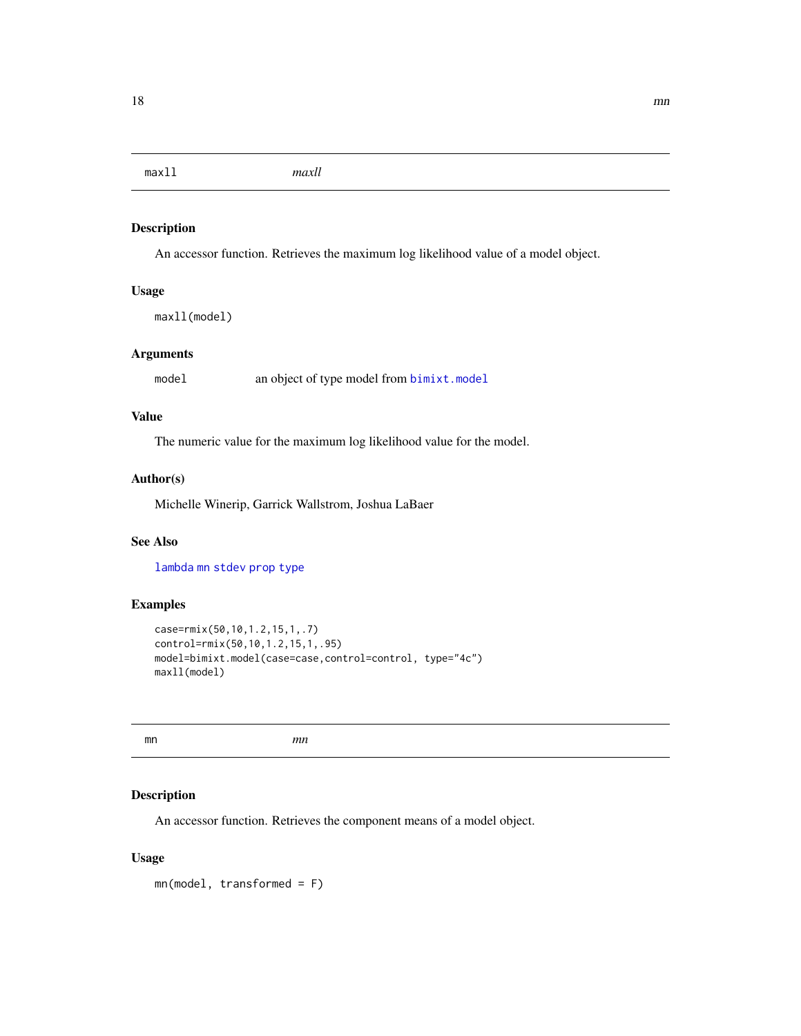<span id="page-17-2"></span><span id="page-17-0"></span>maxll *maxll*

#### Description

An accessor function. Retrieves the maximum log likelihood value of a model object.

## Usage

maxll(model)

## Arguments

model an object of type model from [bimixt.model](#page-7-1)

## Value

The numeric value for the maximum log likelihood value for the model.

#### Author(s)

Michelle Winerip, Garrick Wallstrom, Joshua LaBaer

#### See Also

[lambda](#page-15-1) [mn](#page-17-1) [stdev](#page-26-1) [prop](#page-20-1) [type](#page-28-1)

## Examples

```
case=rmix(50,10,1.2,15,1,.7)
control=rmix(50,10,1.2,15,1,.95)
model=bimixt.model(case=case,control=control, type="4c")
maxll(model)
```
<span id="page-17-1"></span>mn *mn*

## Description

An accessor function. Retrieves the component means of a model object.

#### Usage

mn(model, transformed = F)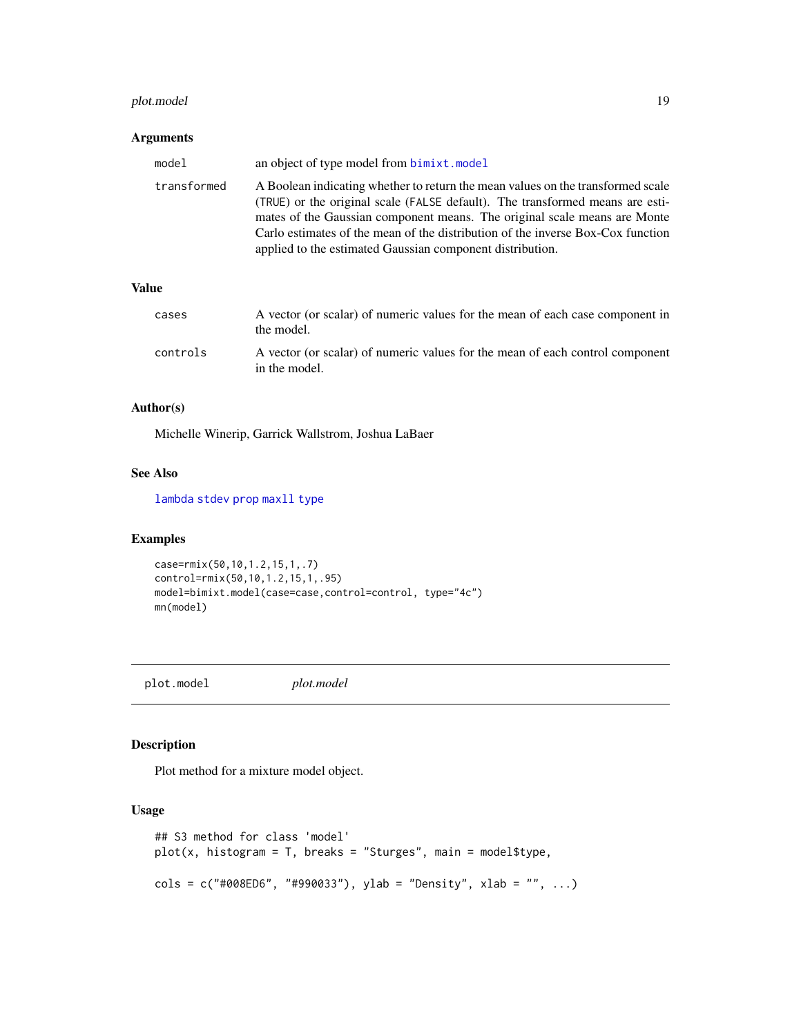## <span id="page-18-0"></span>plot.model 19

#### Arguments

| model       | an object of type model from <b>bimixt</b> .model                                                                                                                                                                                                                                                                                                                                             |
|-------------|-----------------------------------------------------------------------------------------------------------------------------------------------------------------------------------------------------------------------------------------------------------------------------------------------------------------------------------------------------------------------------------------------|
| transformed | A Boolean indicating whether to return the mean values on the transformed scale<br>(TRUE) or the original scale (FALSE default). The transformed means are esti-<br>mates of the Gaussian component means. The original scale means are Monte<br>Carlo estimates of the mean of the distribution of the inverse Box-Cox function<br>applied to the estimated Gaussian component distribution. |

## Value

| cases    | A vector (or scalar) of numeric values for the mean of each case component in<br>the model.    |
|----------|------------------------------------------------------------------------------------------------|
| controls | A vector (or scalar) of numeric values for the mean of each control component<br>in the model. |

#### Author(s)

Michelle Winerip, Garrick Wallstrom, Joshua LaBaer

#### See Also

[lambda](#page-15-1) [stdev](#page-26-1) [prop](#page-20-1) [maxll](#page-17-2) [type](#page-28-1)

## Examples

```
case=rmix(50,10,1.2,15,1,.7)
control=rmix(50,10,1.2,15,1,.95)
model=bimixt.model(case=case,control=control, type="4c")
mn(model)
```
<span id="page-18-1"></span>plot.model *plot.model*

## Description

Plot method for a mixture model object.

#### Usage

```
## S3 method for class 'model'
plot(x, histogram = T, breaks = "Sturges", main = model$type,
cols = c("#008ED6", "#990033"), ylab = "Density", xlab = "", ...)
```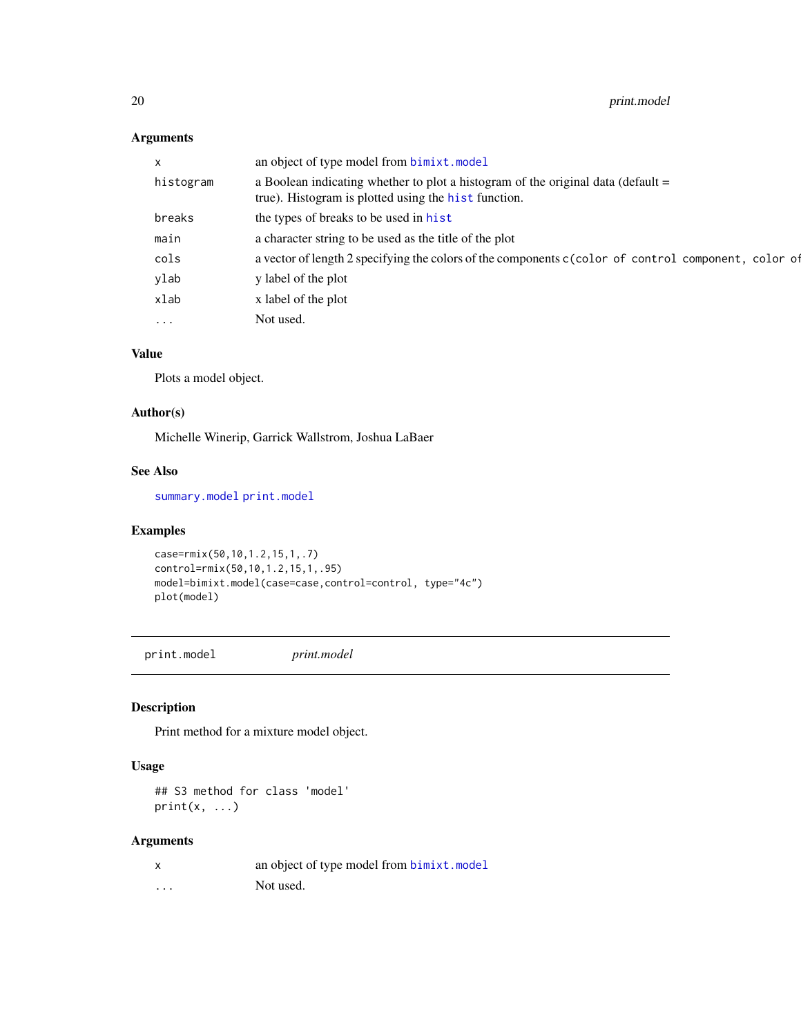## Arguments

| $\mathsf{x}$ | an object of type model from <b>bimixt</b> .model                                                                                          |
|--------------|--------------------------------------------------------------------------------------------------------------------------------------------|
| histogram    | a Boolean indicating whether to plot a histogram of the original data (default $=$<br>true). Histogram is plotted using the hist function. |
| breaks       | the types of breaks to be used in hist                                                                                                     |
| main         | a character string to be used as the title of the plot                                                                                     |
| cols         | a vector of length 2 specifying the colors of the components c(color of control component, color of                                        |
| ylab         | y label of the plot                                                                                                                        |
| xlab         | x label of the plot                                                                                                                        |
| $\ddotsc$    | Not used.                                                                                                                                  |
|              |                                                                                                                                            |

## Value

Plots a model object.

#### Author(s)

Michelle Winerip, Garrick Wallstrom, Joshua LaBaer

## See Also

[summary.model](#page-27-1) [print.model](#page-19-1)

## Examples

```
case=rmix(50,10,1.2,15,1,.7)
control=rmix(50,10,1.2,15,1,.95)
model=bimixt.model(case=case,control=control, type="4c")
plot(model)
```
<span id="page-19-1"></span>print.model *print.model*

## Description

Print method for a mixture model object.

#### Usage

## S3 method for class 'model'  $print(x, \ldots)$ 

## Arguments

|          | an object of type model from bimixt.model |
|----------|-------------------------------------------|
| $\cdots$ | Not used.                                 |

<span id="page-19-0"></span>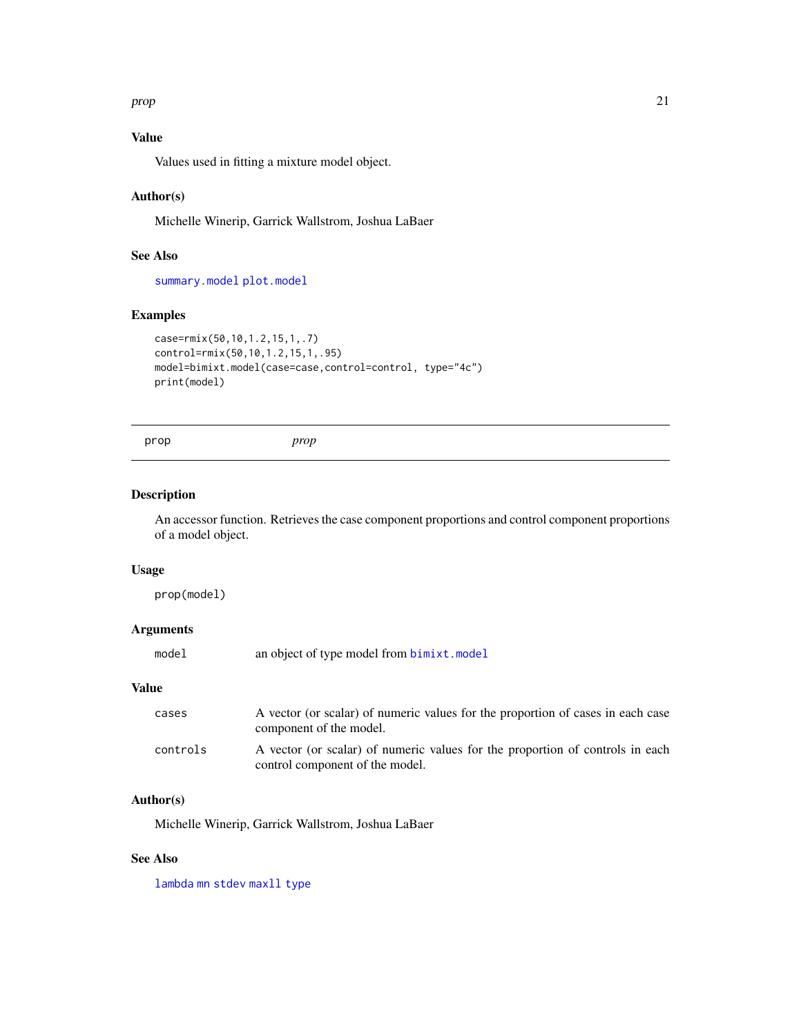<span id="page-20-0"></span>prop 21

## Value

Values used in fitting a mixture model object.

## Author(s)

Michelle Winerip, Garrick Wallstrom, Joshua LaBaer

#### See Also

[summary.model](#page-27-1) [plot.model](#page-18-1)

## Examples

```
case=rmix(50,10,1.2,15,1,.7)
control=rmix(50,10,1.2,15,1,.95)
model=bimixt.model(case=case,control=control, type="4c")
print(model)
```

```
prop prop
```
## Description

An accessor function. Retrieves the case component proportions and control component proportions of a model object.

#### Usage

prop(model)

## Arguments

|  | model | an object of type model from bimixt.model |  |
|--|-------|-------------------------------------------|--|
|--|-------|-------------------------------------------|--|

#### Value

| cases    | A vector (or scalar) of numeric values for the proportion of cases in each case<br>component of the model.       |
|----------|------------------------------------------------------------------------------------------------------------------|
| controls | A vector (or scalar) of numeric values for the proportion of controls in each<br>control component of the model. |

#### Author(s)

Michelle Winerip, Garrick Wallstrom, Joshua LaBaer

#### See Also

[lambda](#page-15-1) [mn](#page-17-1) [stdev](#page-26-1) [maxll](#page-17-2) [type](#page-28-1)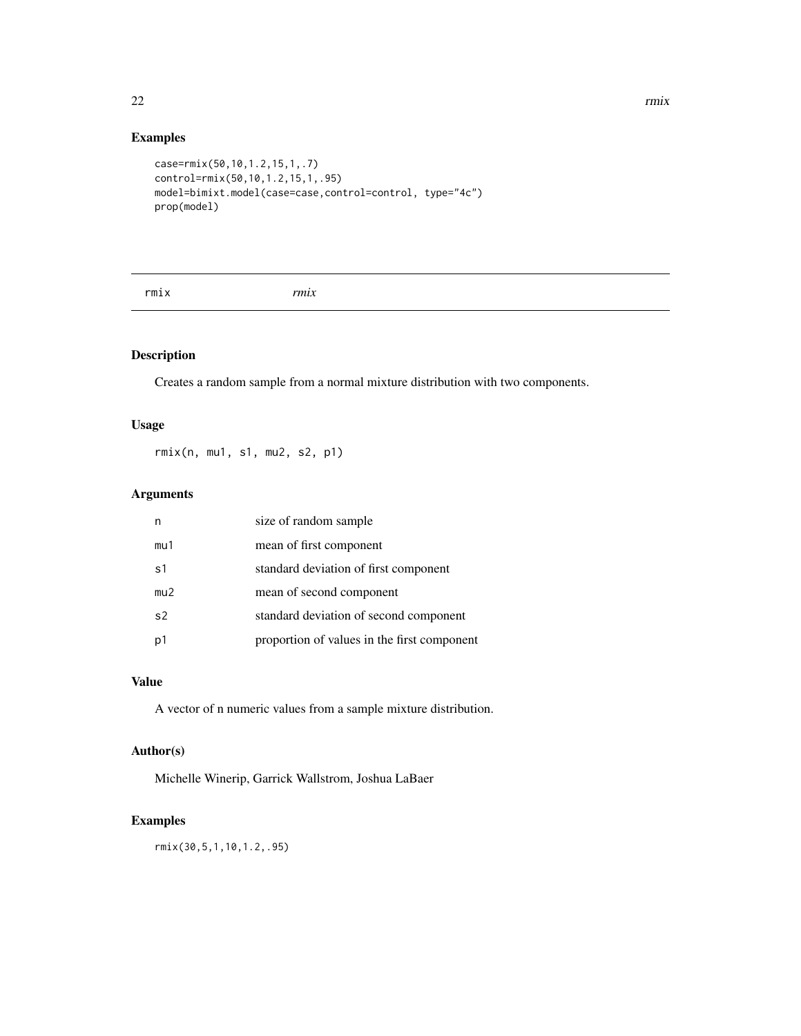#### 22 rmix

## Examples

```
case=rmix(50,10,1.2,15,1,.7)
control=rmix(50,10,1.2,15,1,.95)
model=bimixt.model(case=case,control=control, type="4c")
prop(model)
```
rmix *rmix*

## Description

Creates a random sample from a normal mixture distribution with two components.

## Usage

rmix(n, mu1, s1, mu2, s2, p1)

## Arguments

| n              | size of random sample                       |
|----------------|---------------------------------------------|
| mu1            | mean of first component                     |
| s1             | standard deviation of first component       |
| mu2            | mean of second component                    |
| s <sub>2</sub> | standard deviation of second component      |
| p1             | proportion of values in the first component |

#### Value

A vector of n numeric values from a sample mixture distribution.

#### Author(s)

Michelle Winerip, Garrick Wallstrom, Joshua LaBaer

## Examples

rmix(30,5,1,10,1.2,.95)

<span id="page-21-0"></span>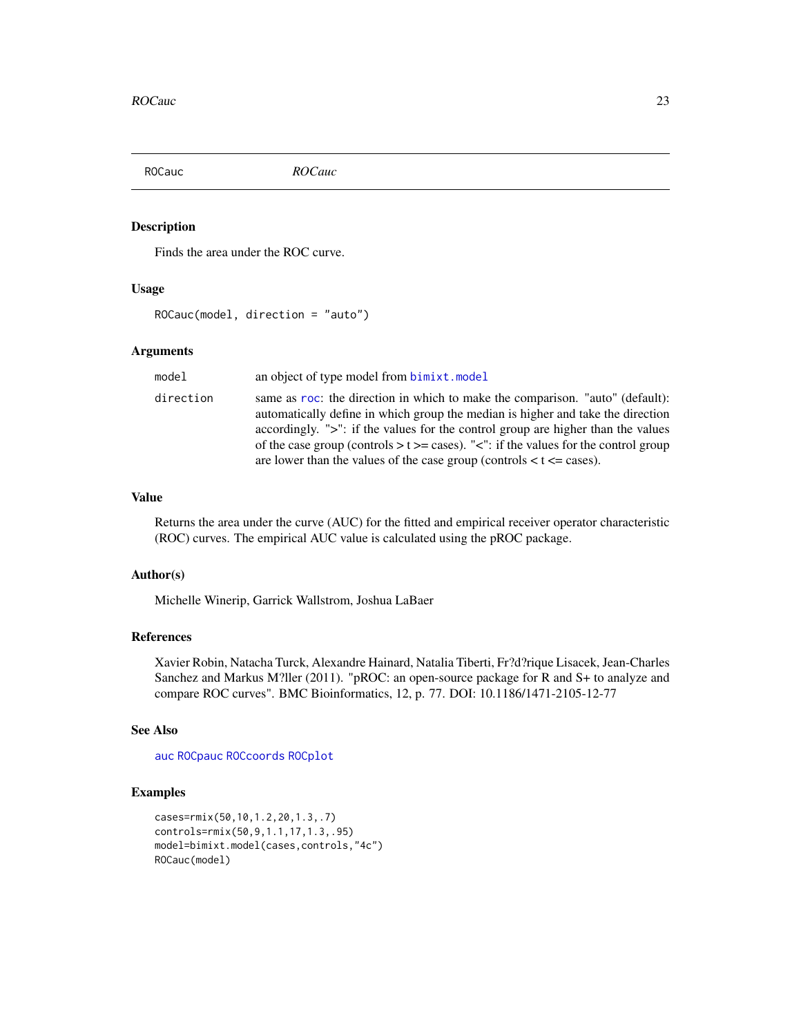<span id="page-22-1"></span><span id="page-22-0"></span>

#### Description

Finds the area under the ROC curve.

#### Usage

ROCauc(model, direction = "auto")

#### **Arguments**

| model     | an object of type model from bimixt.model                                                                                                                                                                                                                                                                                                                                                                                      |
|-----------|--------------------------------------------------------------------------------------------------------------------------------------------------------------------------------------------------------------------------------------------------------------------------------------------------------------------------------------------------------------------------------------------------------------------------------|
| direction | same as roc: the direction in which to make the comparison. "auto" (default):<br>automatically define in which group the median is higher and take the direction<br>accordingly. ">": if the values for the control group are higher than the values<br>of the case group (controls $> t \geq$ cases). "<": if the values for the control group<br>are lower than the values of the case group (controls $lt$ t $lt$ = cases). |

#### Value

Returns the area under the curve (AUC) for the fitted and empirical receiver operator characteristic (ROC) curves. The empirical AUC value is calculated using the pROC package.

#### Author(s)

Michelle Winerip, Garrick Wallstrom, Joshua LaBaer

## References

Xavier Robin, Natacha Turck, Alexandre Hainard, Natalia Tiberti, Fr?d?rique Lisacek, Jean-Charles Sanchez and Markus M?ller (2011). "pROC: an open-source package for R and S+ to analyze and compare ROC curves". BMC Bioinformatics, 12, p. 77. DOI: 10.1186/1471-2105-12-77

## See Also

[auc](#page-0-0) [ROCpauc](#page-24-1) [ROCcoords](#page-23-1) [ROCplot](#page-25-1)

```
cases=rmix(50,10,1.2,20,1.3,.7)
controls=rmix(50,9,1.1,17,1.3,.95)
model=bimixt.model(cases,controls,"4c")
ROCauc(model)
```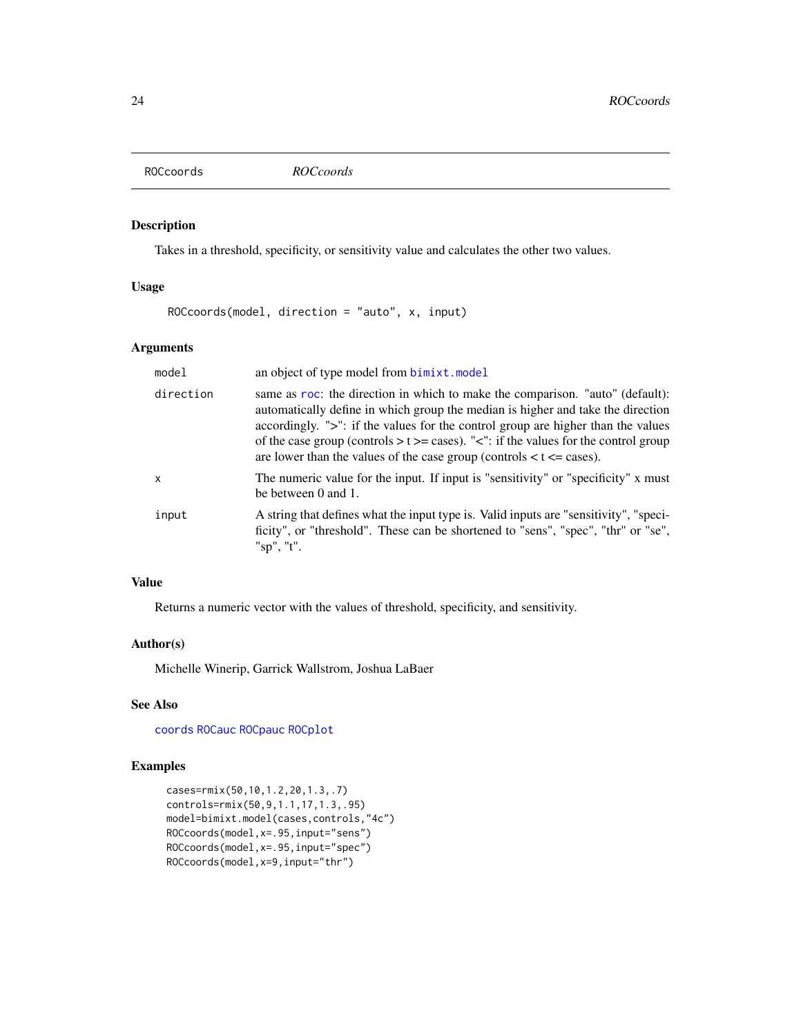<span id="page-23-1"></span><span id="page-23-0"></span>ROCcoords *ROCcoords*

## Description

Takes in a threshold, specificity, or sensitivity value and calculates the other two values.

## Usage

ROCcoords(model, direction = "auto", x, input)

#### Arguments

| model        | an object of type model from <b>bimixt</b> .model                                                                                                                                                                                                                                                                                                                                                                              |
|--------------|--------------------------------------------------------------------------------------------------------------------------------------------------------------------------------------------------------------------------------------------------------------------------------------------------------------------------------------------------------------------------------------------------------------------------------|
| direction    | same as roc: the direction in which to make the comparison. "auto" (default):<br>automatically define in which group the median is higher and take the direction<br>accordingly. ">": if the values for the control group are higher than the values<br>of the case group (controls $> t \geq$ cases). "<": if the values for the control group<br>are lower than the values of the case group (controls $lt$ t $lt$ = cases). |
| $\mathsf{x}$ | The numeric value for the input. If input is "sensitivity" or "specificity" x must<br>be between $0$ and $1$ .                                                                                                                                                                                                                                                                                                                 |
| input        | A string that defines what the input type is. Valid inputs are "sensitivity", "speci-<br>ficity", or "threshold". These can be shortened to "sens", "spec", "thr" or "se",<br>" $sp$ ", " $t$ ".                                                                                                                                                                                                                               |

## Value

Returns a numeric vector with the values of threshold, specificity, and sensitivity.

#### Author(s)

Michelle Winerip, Garrick Wallstrom, Joshua LaBaer

## See Also

[coords](#page-0-0) [ROCauc](#page-22-1) [ROCpauc](#page-24-1) [ROCplot](#page-25-1)

```
cases=rmix(50,10,1.2,20,1.3,.7)
controls=rmix(50,9,1.1,17,1.3,.95)
model=bimixt.model(cases,controls,"4c")
ROCcoords(model,x=.95,input="sens")
ROCcoords(model,x=.95,input="spec")
ROCcoords(model,x=9,input="thr")
```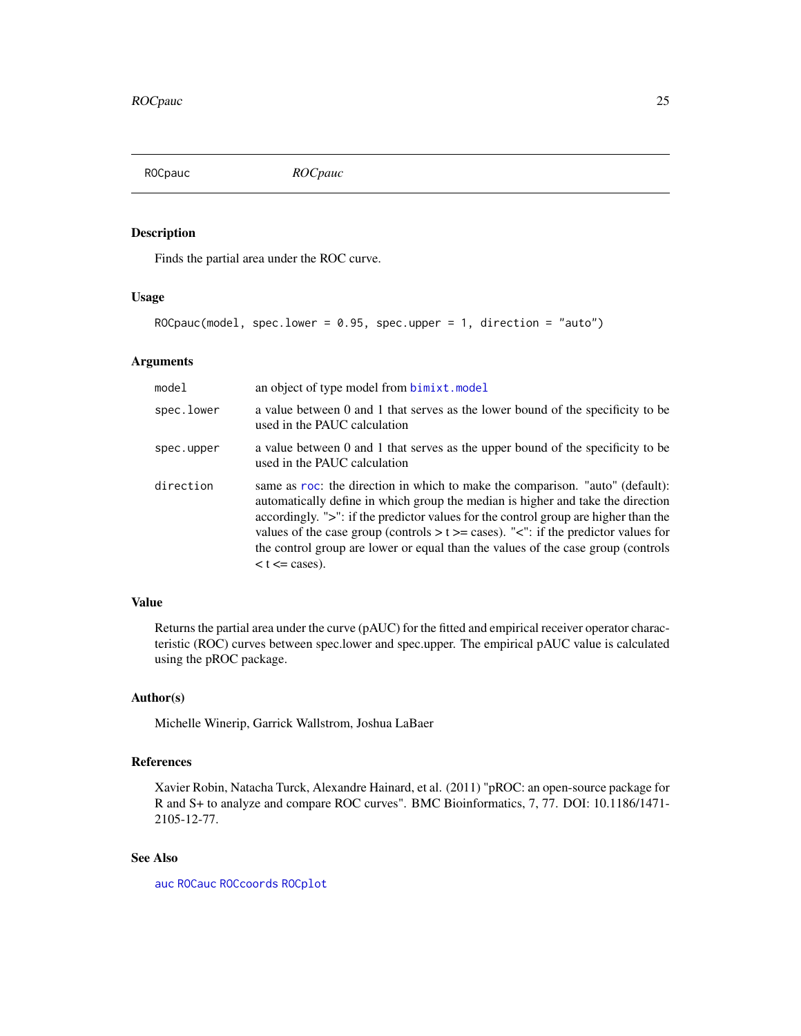<span id="page-24-1"></span><span id="page-24-0"></span>ROCpauc *ROCpauc*

#### Description

Finds the partial area under the ROC curve.

#### Usage

ROCpauc(model, spec.lower =  $0.95$ , spec.upper = 1, direction = "auto")

#### Arguments

| model      | an object of type model from <b>bimixt</b> .model                                                                                                                                                                                                                                                                                                                                                                                                                   |
|------------|---------------------------------------------------------------------------------------------------------------------------------------------------------------------------------------------------------------------------------------------------------------------------------------------------------------------------------------------------------------------------------------------------------------------------------------------------------------------|
| spec.lower | a value between 0 and 1 that serves as the lower bound of the specificity to be<br>used in the PAUC calculation                                                                                                                                                                                                                                                                                                                                                     |
| spec.upper | a value between 0 and 1 that serves as the upper bound of the specificity to be<br>used in the PAUC calculation                                                                                                                                                                                                                                                                                                                                                     |
| direction  | same as roc: the direction in which to make the comparison. "auto" (default):<br>automatically define in which group the median is higher and take the direction<br>accordingly. ">": if the predictor values for the control group are higher than the<br>values of the case group (controls $> t \ge$ cases). " $\lt$ ": if the predictor values for<br>the control group are lower or equal than the values of the case group (controls<br>$lt$ t $lt$ = cases). |

## Value

Returns the partial area under the curve (pAUC) for the fitted and empirical receiver operator characteristic (ROC) curves between spec.lower and spec.upper. The empirical pAUC value is calculated using the pROC package.

## Author(s)

Michelle Winerip, Garrick Wallstrom, Joshua LaBaer

## References

Xavier Robin, Natacha Turck, Alexandre Hainard, et al. (2011) "pROC: an open-source package for R and S+ to analyze and compare ROC curves". BMC Bioinformatics, 7, 77. DOI: 10.1186/1471- 2105-12-77.

## See Also

[auc](#page-0-0) [ROCauc](#page-22-1) [ROCcoords](#page-23-1) [ROCplot](#page-25-1)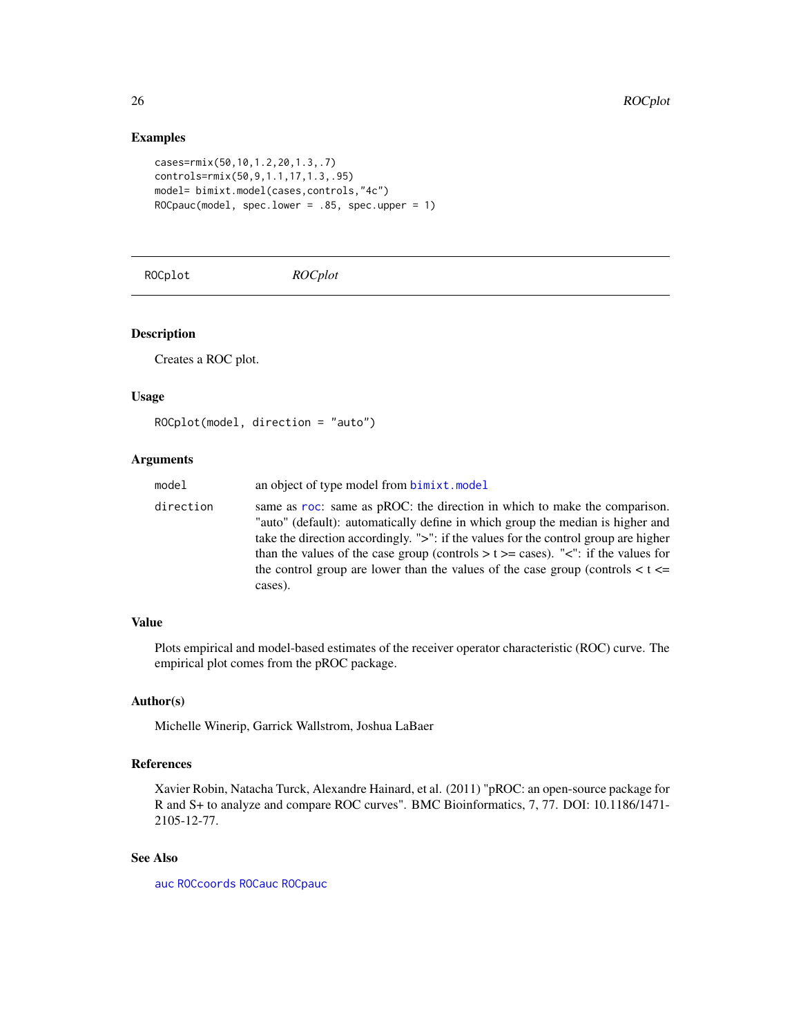## Examples

```
cases=rmix(50,10,1.2,20,1.3,.7)
controls=rmix(50,9,1.1,17,1.3,.95)
model= bimixt.model(cases,controls,"4c")
ROCpauc(model, spec.lower = .85, spec.upper = 1)
```
<span id="page-25-1"></span>ROCplot *ROCplot*

## Description

Creates a ROC plot.

#### Usage

```
ROCplot(model, direction = "auto")
```
## Arguments

| model     | an object of type model from bimixt.model                                                                                                                                                                                                                                                                                                                                                                                                            |
|-----------|------------------------------------------------------------------------------------------------------------------------------------------------------------------------------------------------------------------------------------------------------------------------------------------------------------------------------------------------------------------------------------------------------------------------------------------------------|
| direction | same as roc: same as pROC: the direction in which to make the comparison.<br>"auto" (default): automatically define in which group the median is higher and<br>take the direction accordingly. ">": if the values for the control group are higher<br>than the values of the case group (controls $> t \ge$ cases). " $\lt$ ": if the values for<br>the control group are lower than the values of the case group (controls $\lt t \lt =$<br>cases). |

## Value

Plots empirical and model-based estimates of the receiver operator characteristic (ROC) curve. The empirical plot comes from the pROC package.

#### Author(s)

Michelle Winerip, Garrick Wallstrom, Joshua LaBaer

## References

Xavier Robin, Natacha Turck, Alexandre Hainard, et al. (2011) "pROC: an open-source package for R and S+ to analyze and compare ROC curves". BMC Bioinformatics, 7, 77. DOI: 10.1186/1471- 2105-12-77.

## See Also

[auc](#page-0-0) [ROCcoords](#page-23-1) [ROCauc](#page-22-1) [ROCpauc](#page-24-1)

<span id="page-25-0"></span>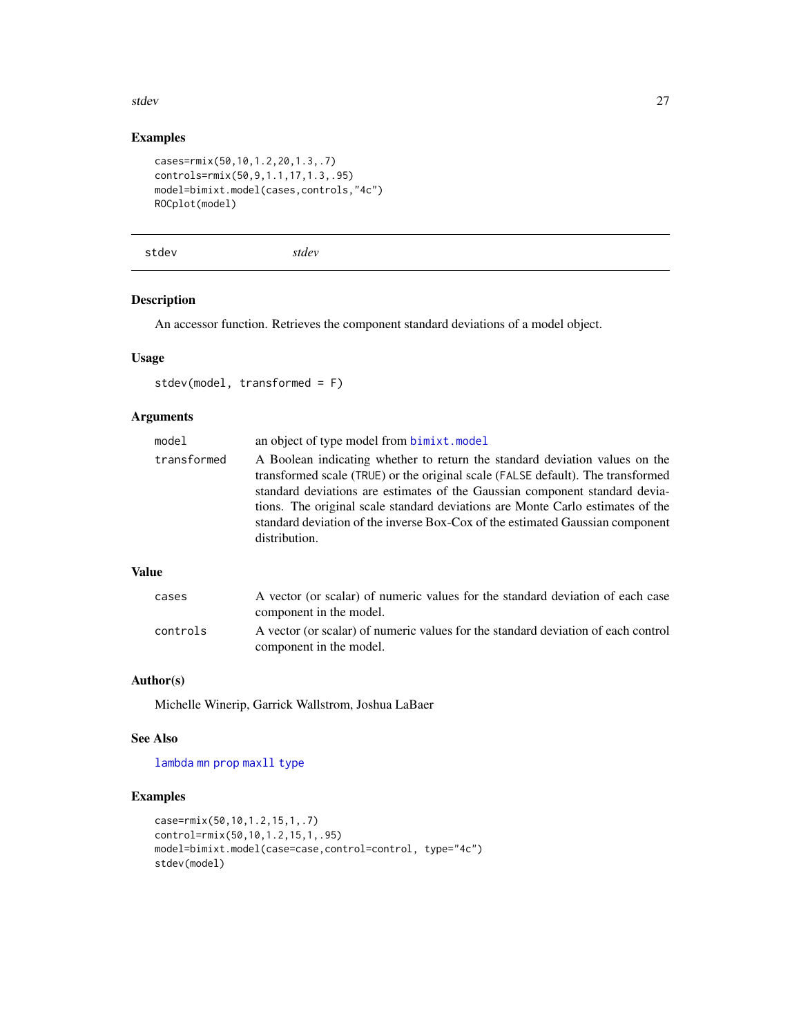#### <span id="page-26-0"></span>stdev 27

## Examples

```
cases=rmix(50,10,1.2,20,1.3,.7)
controls=rmix(50,9,1.1,17,1.3,.95)
model=bimixt.model(cases,controls,"4c")
ROCplot(model)
```
<span id="page-26-1"></span>stdev *stdev*

#### Description

An accessor function. Retrieves the component standard deviations of a model object.

#### Usage

```
stdev(model, transformed = F)
```
## Arguments

| model       | an object of type model from bimixt.model                                                                                                                                                                                                                                                                                                                                                                                         |
|-------------|-----------------------------------------------------------------------------------------------------------------------------------------------------------------------------------------------------------------------------------------------------------------------------------------------------------------------------------------------------------------------------------------------------------------------------------|
| transformed | A Boolean indicating whether to return the standard deviation values on the<br>transformed scale (TRUE) or the original scale (FALSE default). The transformed<br>standard deviations are estimates of the Gaussian component standard devia-<br>tions. The original scale standard deviations are Monte Carlo estimates of the<br>standard deviation of the inverse Box-Cox of the estimated Gaussian component<br>distribution. |
|             |                                                                                                                                                                                                                                                                                                                                                                                                                                   |

#### Value

| cases    | A vector (or scalar) of numeric values for the standard deviation of each case<br>component in the model.    |
|----------|--------------------------------------------------------------------------------------------------------------|
| controls | A vector (or scalar) of numeric values for the standard deviation of each control<br>component in the model. |

#### Author(s)

Michelle Winerip, Garrick Wallstrom, Joshua LaBaer

#### See Also

[lambda](#page-15-1) [mn](#page-17-1) [prop](#page-20-1) [maxll](#page-17-2) [type](#page-28-1)

```
case=rmix(50,10,1.2,15,1,.7)
control=rmix(50,10,1.2,15,1,.95)
model=bimixt.model(case=case,control=control, type="4c")
stdev(model)
```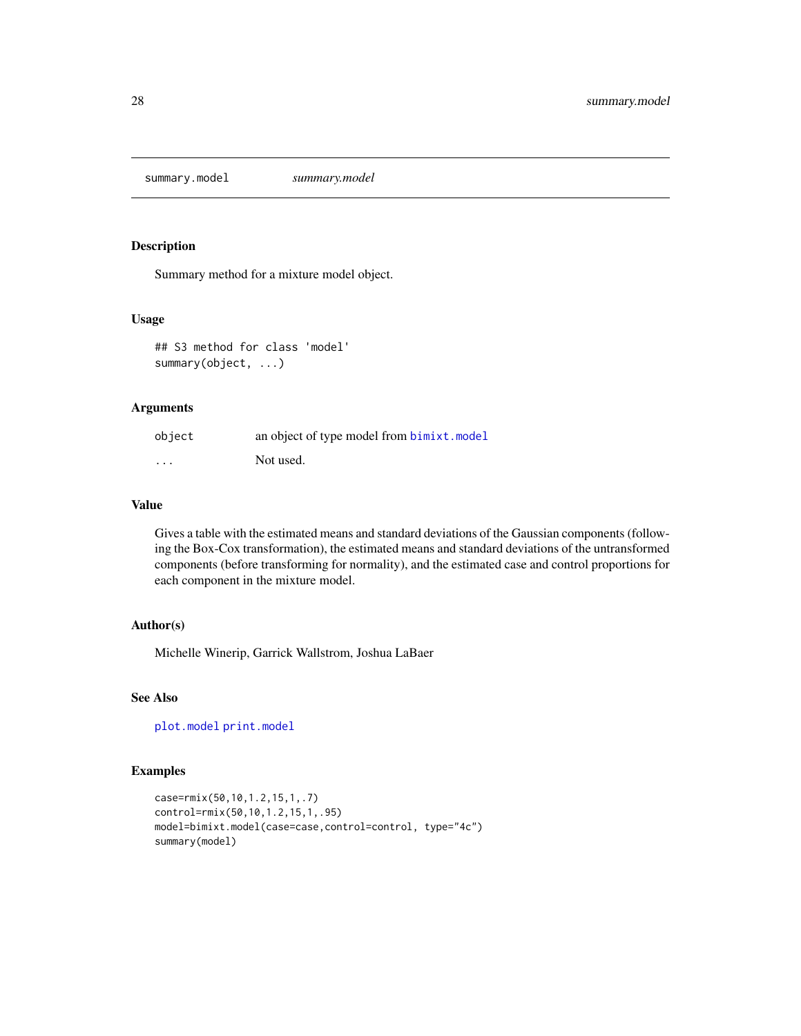<span id="page-27-1"></span><span id="page-27-0"></span>summary.model *summary.model*

#### Description

Summary method for a mixture model object.

#### Usage

```
## S3 method for class 'model'
summary(object, ...)
```
#### Arguments

| object   | an object of type model from bimixt.model |
|----------|-------------------------------------------|
| $\cdots$ | Not used.                                 |

#### Value

Gives a table with the estimated means and standard deviations of the Gaussian components (following the Box-Cox transformation), the estimated means and standard deviations of the untransformed components (before transforming for normality), and the estimated case and control proportions for each component in the mixture model.

#### Author(s)

Michelle Winerip, Garrick Wallstrom, Joshua LaBaer

## See Also

[plot.model](#page-18-1) [print.model](#page-19-1)

```
case=rmix(50,10,1.2,15,1,.7)
control=rmix(50,10,1.2,15,1,.95)
model=bimixt.model(case=case,control=control, type="4c")
summary(model)
```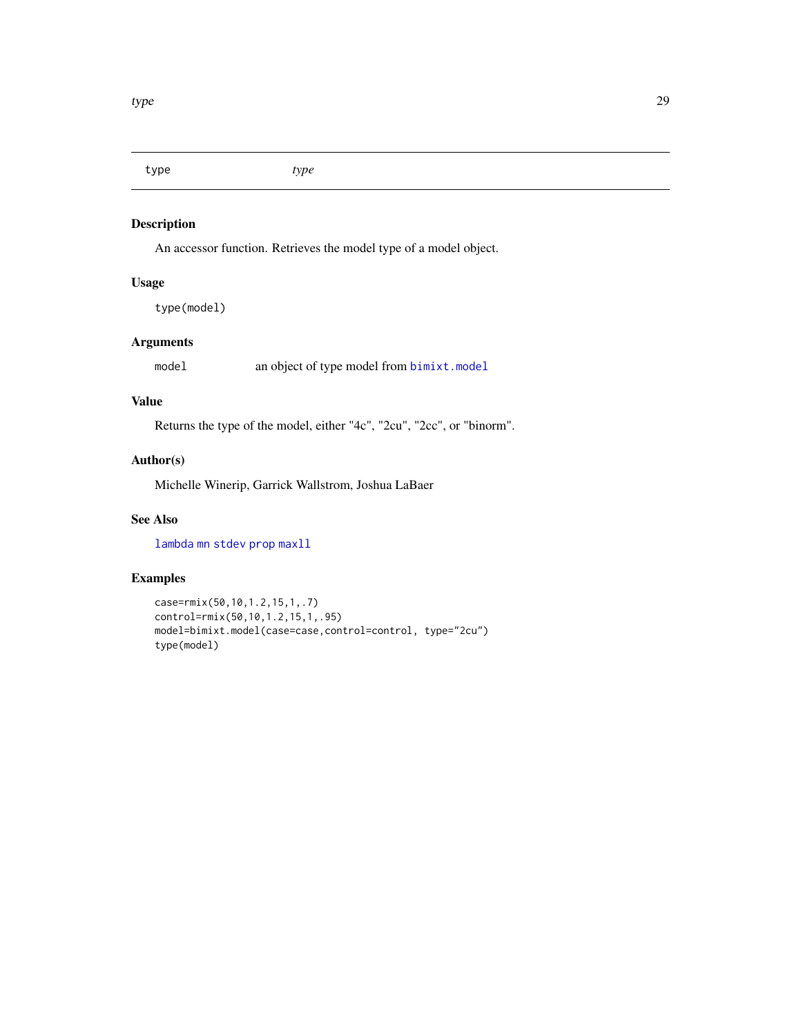<span id="page-28-1"></span><span id="page-28-0"></span>type *type*

## Description

An accessor function. Retrieves the model type of a model object.

## Usage

type(model)

## Arguments

model an object of type model from [bimixt.model](#page-7-1)

#### Value

Returns the type of the model, either "4c", "2cu", "2cc", or "binorm".

## Author(s)

Michelle Winerip, Garrick Wallstrom, Joshua LaBaer

## See Also

[lambda](#page-15-1) [mn](#page-17-1) [stdev](#page-26-1) [prop](#page-20-1) [maxll](#page-17-2)

```
case=rmix(50,10,1.2,15,1,.7)
control=rmix(50,10,1.2,15,1,.95)
model=bimixt.model(case=case,control=control, type="2cu")
type(model)
```